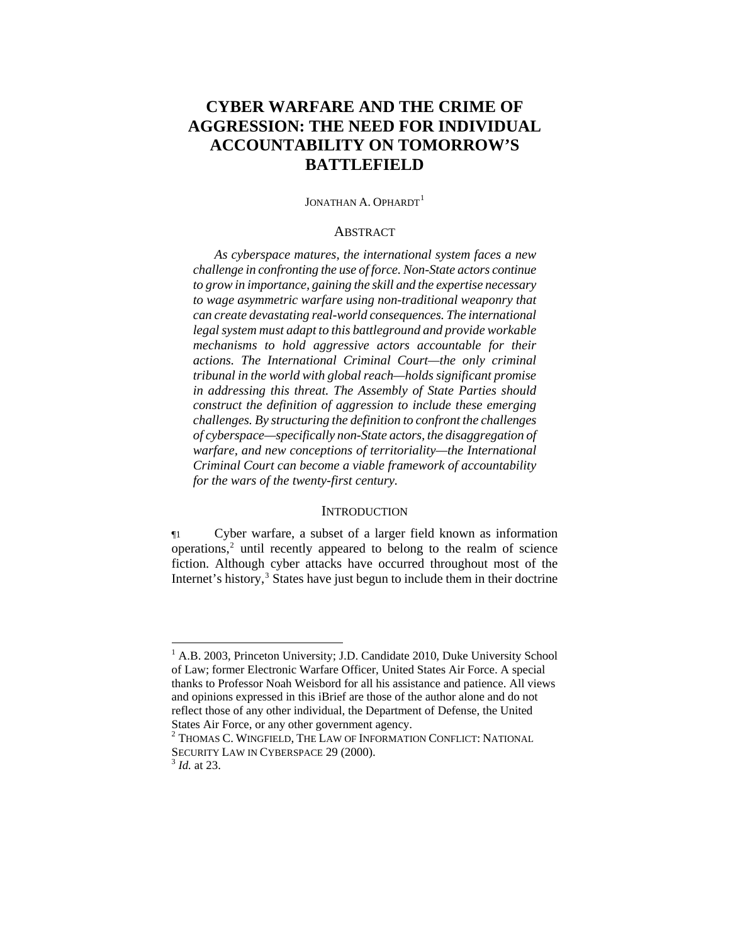# **CYBER WARFARE AND THE CRIME OF AGGRESSION: THE NEED FOR INDIVIDUAL ACCOUNTABILITY ON TOMORROW'S BATTLEFIELD**

JONATHAN A. OPHARDT<sup>[1](#page-0-0)</sup>

### **ABSTRACT**

*As cyberspace matures, the international system faces a new challenge in confronting the use of force. Non-State actors continue to grow in importance, gaining the skill and the expertise necessary to wage asymmetric warfare using non-traditional weaponry that can create devastating real-world consequences. The international legal system must adapt to this battleground and provide workable mechanisms to hold aggressive actors accountable for their actions. The International Criminal Court—the only criminal tribunal in the world with global reach—holds significant promise in addressing this threat. The Assembly of State Parties should construct the definition of aggression to include these emerging challenges. By structuring the definition to confront the challenges of cyberspace—specifically non-State actors, the disaggregation of warfare, and new conceptions of territoriality—the International Criminal Court can become a viable framework of accountability for the wars of the twenty-first century.* 

### **INTRODUCTION**

¶1 Cyber warfare, a subset of a larger field known as information operations,<sup>[2](#page-0-1)</sup> until recently appeared to belong to the realm of science fiction. Although cyber attacks have occurred throughout most of the Internet's history,<sup>[3](#page-0-2)</sup> States have just begun to include them in their doctrine

l

<span id="page-0-0"></span><sup>&</sup>lt;sup>1</sup> A.B. 2003, Princeton University; J.D. Candidate 2010, Duke University School of Law; former Electronic Warfare Officer, United States Air Force. A special thanks to Professor Noah Weisbord for all his assistance and patience. All views and opinions expressed in this iBrief are those of the author alone and do not reflect those of any other individual, the Department of Defense, the United States Air Force, or any other government agency.

<span id="page-0-1"></span> $2$  Thomas C. Wingfield, The Law of Information Conflict: National SECURITY LAW IN CYBERSPACE 29 (2000). 3 *Id.* at 23.

<span id="page-0-2"></span>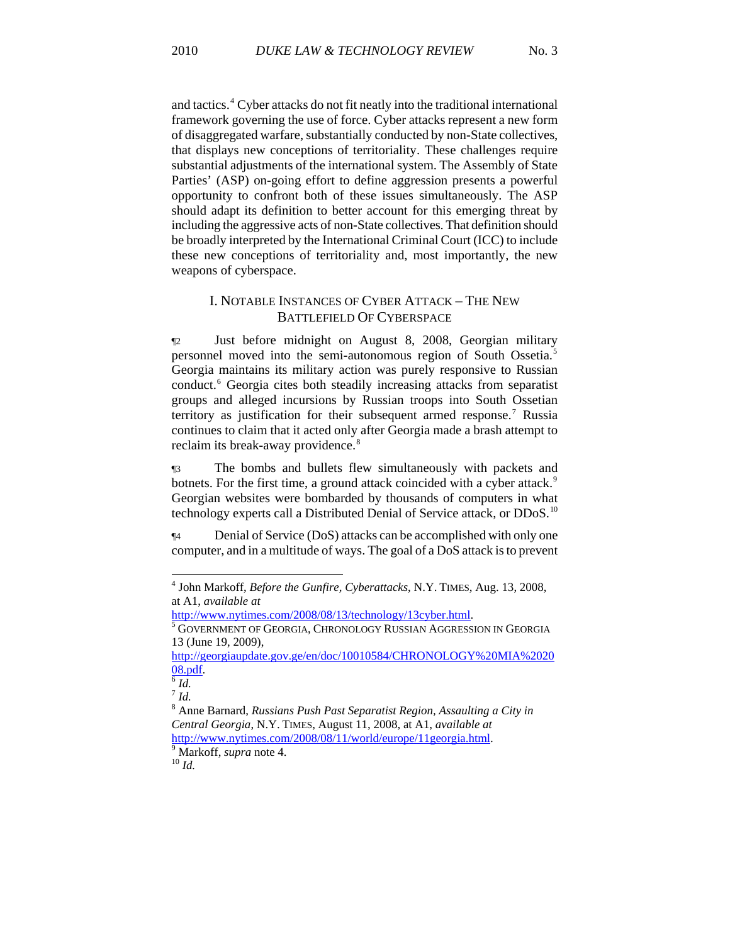and tactics.4 Cyber attacks do not fit neatly into the traditional international framework governing the use of force. Cyber attacks represent a new form of disaggregated warfare, substantially conducted by non-State collectives, that displays new conceptions of territoriality. These challenges require substantial adjustments of the international system. The Assembly of State Parties' (ASP) on-going effort to define aggression presents a powerful opportunity to confront both of these issues simultaneously. The ASP should adapt its definition to better account for this emerging threat by including the aggressive acts of non-State collectives. That definition should be broadly interpreted by the International Criminal Court (ICC) to include these new conceptions of territoriality and, most importantly, the new weapons of cyberspace.

# I. NOTABLE INSTANCES OF CYBER ATTACK – THE NEW BATTLEFIELD OF CYBERSPACE

¶2 Just before midnight on August 8, 2008, Georgian military personnel moved into the semi-autonomous region of South Ossetia.[5](#page-1-0) Georgia maintains its military action was purely responsive to Russian conduct.<sup>[6](#page-1-1)</sup> Georgia cites both steadily increasing attacks from separatist groups and alleged incursions by Russian troops into South Ossetian territory as justification for their subsequent armed response.<sup>[7](#page-1-2)</sup> Russia continues to claim that it acted only after Georgia made a brash attempt to reclaim its break-away providence.<sup>[8](#page-1-3)</sup>

¶3 The bombs and bullets flew simultaneously with packets and botnets. For the first time, a ground attack coincided with a cyber attack.<sup>[9](#page-1-4)</sup> Georgian websites were bombarded by thousands of computers in what technology experts call a Distributed Denial of Service attack, or DDoS.<sup>[10](#page-1-5)</sup>

¶4 Denial of Service (DoS) attacks can be accomplished with only one computer, and in a multitude of ways. The goal of a DoS attack is to prevent

l

<sup>4</sup> John Markoff, *Before the Gunfire, Cyberattacks*, N.Y. TIMES, Aug. 13, 2008, at A1, *available at*

<span id="page-1-0"></span> $5$  GOVERNMENT OF GEORGIA, CHRONOLOGY RUSSIAN AGGRESSION IN GEORGIA 13 (June 19, 2009),

[http://georgiaupdate.gov.ge/en/doc/10010584/CHRONOLOGY%20MIA%2020](http://georgiaupdate.gov.ge/en/doc/10010584/CHRONOLOGY%20MIA%202008.pdf)  $\frac{08.pdf6}$  $\frac{08.pdf6}$  $\frac{08.pdf6}$ *id.* 

<span id="page-1-2"></span><span id="page-1-1"></span><sup>7</sup> *Id.*

<span id="page-1-3"></span><sup>8</sup> Anne Barnard, *Russians Push Past Separatist Region, Assaulting a City in Central Georgia*, N.Y. TIMES, August 11, 2008, at A1, *available at* <http://www.nytimes.com/2008/08/11/world/europe/11georgia.html>. [9](http://www.nytimes.com/2008/08/11/world/europe/11georgia.html)

<span id="page-1-5"></span><span id="page-1-4"></span>Markoff, *supra* note 4. 10 *Id.*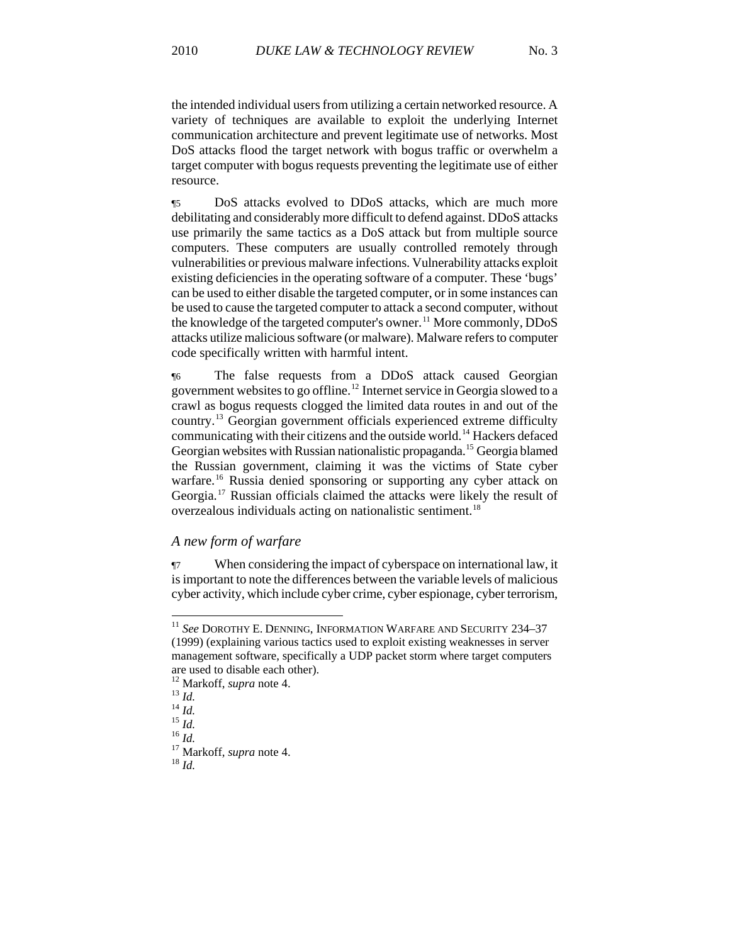the intended individual users from utilizing a certain networked resource. A variety of techniques are available to exploit the underlying Internet communication architecture and prevent legitimate use of networks. Most DoS attacks flood the target network with bogus traffic or overwhelm a target computer with bogus requests preventing the legitimate use of either resource.

¶5 DoS attacks evolved to DDoS attacks, which are much more debilitating and considerably more difficult to defend against. DDoS attacks use primarily the same tactics as a DoS attack but from multiple source computers. These computers are usually controlled remotely through vulnerabilities or previous malware infections. Vulnerability attacks exploit existing deficiencies in the operating software of a computer. These 'bugs' can be used to either disable the targeted computer, or in some instances can be used to cause the targeted computer to attack a second computer, without the knowledge of the targeted computer's owner.<sup>[11](#page-2-0)</sup> More commonly,  $DDoS$ attacks utilize malicious software (or malware). Malware refers to computer code specifically written with harmful intent.

¶6 The false requests from a DDoS attack caused Georgian government websites to go offline.<sup>[12](#page-2-1)</sup> Internet service in Georgia slowed to a crawl as bogus requests clogged the limited data routes in and out of the country.[13](#page-2-2) Georgian government officials experienced extreme difficulty communicating with their citizens and the outside world.<sup>[14](#page-2-3)</sup> Hackers defaced Georgian websites with Russian nationalistic propaganda.<sup>15</sup> Georgia blamed the Russian government, claiming it was the victims of State cyber warfare.<sup>[16](#page-2-5)</sup> Russia denied sponsoring or supporting any cyber attack on Georgia.[17](#page-2-6) Russian officials claimed the attacks were likely the result of overzealous individuals acting on nationalistic sentiment.<sup>[18](#page-2-7)</sup>

### *A new form of warfare*

¶7 When considering the impact of cyberspace on international law, it is important to note the differences between the variable levels of malicious cyber activity, which include cyber crime, cyber espionage, cyber terrorism,

<span id="page-2-0"></span><sup>11</sup> *See* DOROTHY E. DENNING, INFORMATION WARFARE AND SECURITY 234–37 (1999) (explaining various tactics used to exploit existing weaknesses in server management software, specifically a UDP packet storm where target computers are used to disable each other).<br><sup>12</sup> Markoff, *supra* note 4.

<span id="page-2-6"></span><span id="page-2-5"></span><span id="page-2-4"></span>

<span id="page-2-3"></span><span id="page-2-2"></span><span id="page-2-1"></span><sup>13</sup> *Id.*<br>
<sup>14</sup> *Id.*<br>
<sup>15</sup> *Id.*<br>
<sup>16</sup> *Id.*<br>
<sup>17</sup> Markoff, *supra* note 4.<br>
<sup>18</sup> *Id.* 

<span id="page-2-7"></span>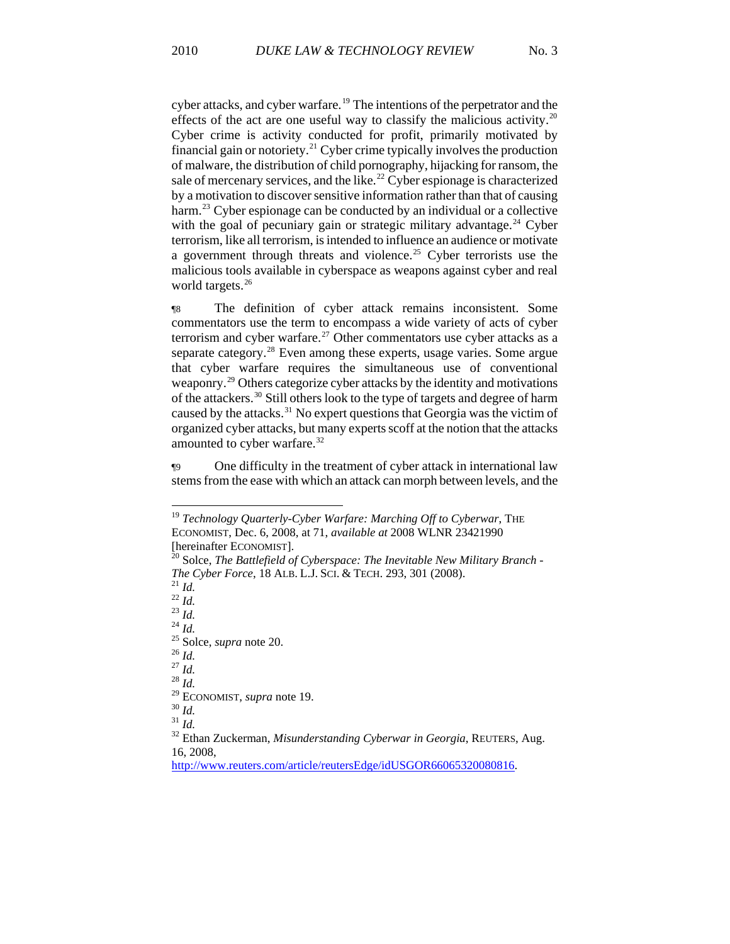cyber attacks, and cyber warfare.<sup>19</sup> The intentions of the perpetrator and the effects of the act are one useful way to classify the malicious activity.<sup>20</sup> Cyber crime is activity conducted for profit, primarily motivated by financial gain or notoriety.<sup>21</sup> Cyber crime typically involves the production of malware, the distribution of child pornography, hijacking for ransom, the sale of mercenary services, and the like.<sup>22</sup> Cyber espionage is characterized by a motivation to discover sensitive information rather than that of causing harm.<sup>23</sup> Cyber espionage can be conducted by an individual or a collective with the goal of pecuniary gain or strategic military advantage.<sup>24</sup> Cyber terrorism, like all terrorism, is intended to influence an audience or motivate a government through threats and violence.<sup>25</sup> Cyber terrorists use the malicious tools available in cyberspace as weapons against cyber and real world targets.<sup>26</sup>

¶8 The definition of cyber attack remains inconsistent. Some commentators use the term to encompass a wide variety of acts of cyber terrorism and cyber warfare.<sup>[27](#page-3-0)</sup> Other commentators use cyber attacks as a separate category.<sup>[28](#page-3-1)</sup> Even among these experts, usage varies. Some argue that cyber warfare requires the simultaneous use of conventional weaponry.[29](#page-3-2) Others categorize cyber attacks by the identity and motivations of the attackers.[30](#page-3-3) Still others look to the type of targets and degree of harm caused by the attacks.<sup>[31](#page-3-4)</sup> No expert questions that Georgia was the victim of organized cyber attacks, but many experts scoff at the notion that the attacks amounted to cyber warfare.<sup>[32](#page-3-5)</sup>

¶9 One difficulty in the treatment of cyber attack in international law stems from the ease with which an attack can morph between levels, and the

<span id="page-3-5"></span><span id="page-3-4"></span><span id="page-3-3"></span>

<sup>19</sup> *Technology Quarterly-Cyber Warfare: Marching Off to Cyberwar*, THE ECONOMIST, Dec. 6, 2008, at 71, *available at* 2008 WLNR 23421990

<sup>[</sup>hereinafter ECONOMIST].<br><sup>20</sup> Solce, *The Battlefield of Cyberspace: The Inevitable New Military Branch -The Cyber Force*, 18 ALB. L.J. SCI. & TECH. 293, 301 (2008).<br>
<sup>21</sup> *Id.*<br>
<sup>22</sup> *Id.*<br>
<sup>23</sup> *Id.*<br>
<sup>24</sup> *Id.*<br>
<sup>25</sup> Solce, *supra* note 20.<br>
<sup>26</sup> *Id.*<br>
<sup>27</sup> *Id.*<br>
<sup>28</sup> *Id.* 

<span id="page-3-2"></span><span id="page-3-1"></span><span id="page-3-0"></span><sup>&</sup>lt;sup>28</sup> *Id.*<br><sup>29</sup> ECONOMIST, *supra* note 19.<br><sup>30</sup> *Id.* <sup>31</sup> *Id.* <sup>32</sup> Ethan Zuckerman, *Misunderstanding Cyberwar in Georgia*, REUTERS, Aug. 16, 2008,

[http://www.reuters.com/article/reutersEdge/idUSGOR66065320080816.](http://www.reuters.com/article/reutersEdge/idUSGOR66065320080816)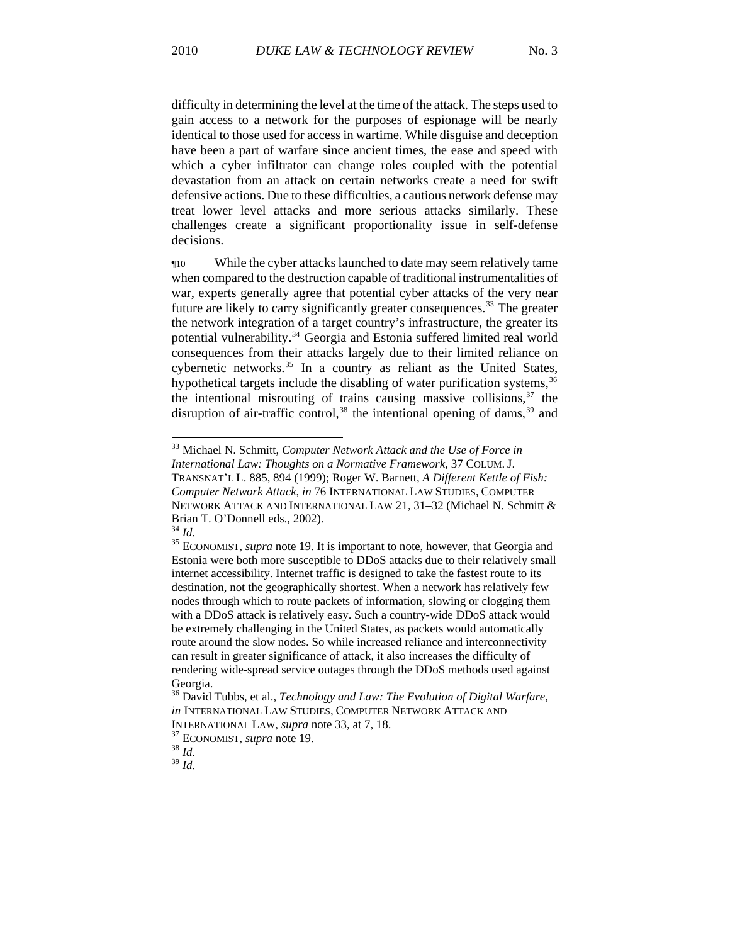difficulty in determining the level at the time of the attack. The steps used to gain access to a network for the purposes of espionage will be nearly identical to those used for access in wartime. While disguise and deception have been a part of warfare since ancient times, the ease and speed with which a cyber infiltrator can change roles coupled with the potential devastation from an attack on certain networks create a need for swift defensive actions. Due to these difficulties, a cautious network defense may treat lower level attacks and more serious attacks similarly. These challenges create a significant proportionality issue in self-defense decisions.

¶10 While the cyber attacks launched to date may seem relatively tame when compared to the destruction capable of traditional instrumentalities of war, experts generally agree that potential cyber attacks of the very near future are likely to carry significantly greater consequences.<sup>[33](#page-4-0)</sup> The greater the network integration of a target country's infrastructure, the greater its potential vulnerability.<sup>[34](#page-4-1)</sup> Georgia and Estonia suffered limited real world consequences from their attacks largely due to their limited reliance on cybernetic networks.<sup>[35](#page-4-2)</sup> In a country as reliant as the United States, hypothetical targets include the disabling of water purification systems,<sup>[36](#page-4-3)</sup> the intentional misrouting of trains causing massive collisions,  $37$  the disruption of air-traffic control,<sup>[38](#page-4-5)</sup> the intentional opening of dams,<sup>[39](#page-4-6)</sup> and

-

<span id="page-4-6"></span><span id="page-4-5"></span><sup>39</sup> *Id.*

<span id="page-4-0"></span><sup>33</sup> Michael N. Schmitt, *Computer Network Attack and the Use of Force in International Law: Thoughts on a Normative Framework*, 37 COLUM. J. TRANSNAT'L L. 885, 894 (1999); Roger W. Barnett, *A Different Kettle of Fish: Computer Network Attack*, *in* 76 INTERNATIONAL LAW STUDIES, COMPUTER

NETWORK ATTACK AND INTERNATIONAL LAW 21, 31–32 (Michael N. Schmitt & Brian T. O'Donnell eds., 2002).<br> $^{34}$  *Id.* 

<span id="page-4-2"></span><span id="page-4-1"></span><sup>&</sup>lt;sup>35</sup> ECONOMIST, *supra* note 19. It is important to note, however, that Georgia and Estonia were both more susceptible to DDoS attacks due to their relatively small internet accessibility. Internet traffic is designed to take the fastest route to its destination, not the geographically shortest. When a network has relatively few nodes through which to route packets of information, slowing or clogging them with a DDoS attack is relatively easy. Such a country-wide DDoS attack would be extremely challenging in the United States, as packets would automatically route around the slow nodes. So while increased reliance and interconnectivity can result in greater significance of attack, it also increases the difficulty of rendering wide-spread service outages through the DDoS methods used against Georgia.

<span id="page-4-3"></span><sup>36</sup> David Tubbs, et al., *Technology and Law: The Evolution of Digital Warfare*, *in* INTERNATIONAL LAW STUDIES, COMPUTER NETWORK ATTACK AND INTERNATIONAL LAW, *supra* note 33, at 7, 18. 37 ECONOMIST, *supra* note 19. 38 *Id.*

<span id="page-4-4"></span>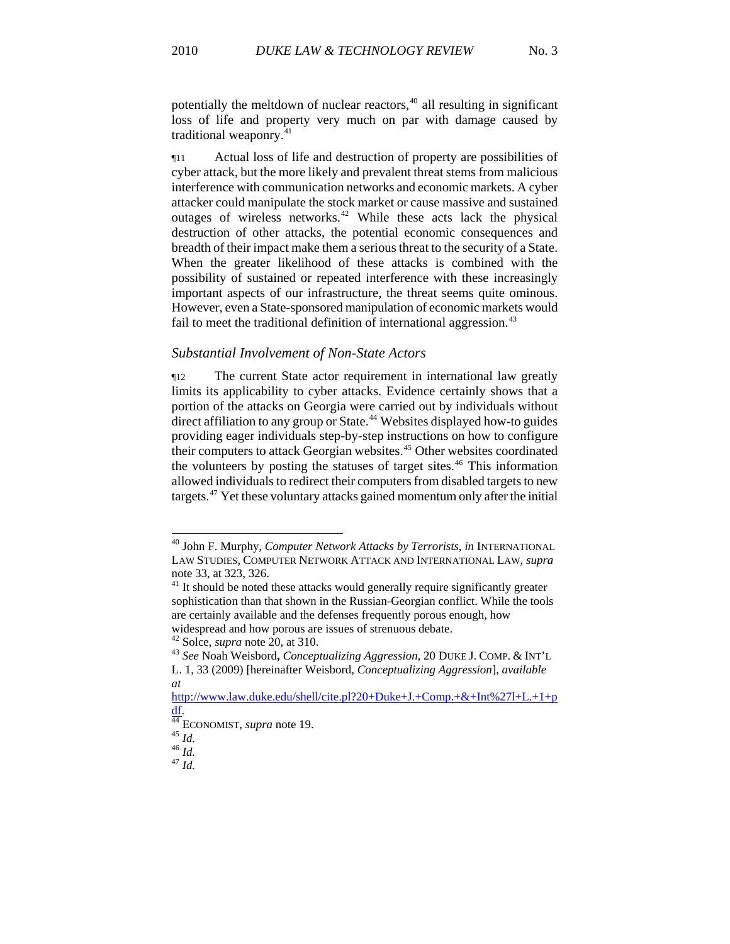potentially the meltdown of nuclear reactors, $40$  all resulting in significant loss of life and property very much on par with damage caused by traditional weaponry.<sup>41</sup>

¶11 Actual loss of life and destruction of property are possibilities of cyber attack, but the more likely and prevalent threat stems from malicious interference with communication networks and economic markets. A cyber attacker could manipulate the stock market or cause massive and sustained outages of wireless networks.[42](#page-5-0) While these acts lack the physical destruction of other attacks, the potential economic consequences and breadth of their impact make them a serious threat to the security of a State. When the greater likelihood of these attacks is combined with the possibility of sustained or repeated interference with these increasingly important aspects of our infrastructure, the threat seems quite ominous. However, even a State-sponsored manipulation of economic markets would fail to meet the traditional definition of international aggression.<sup>[43](#page-5-1)</sup>

### *Substantial Involvement of Non-State Actors*

¶12 The current State actor requirement in international law greatly limits its applicability to cyber attacks. Evidence certainly shows that a portion of the attacks on Georgia were carried out by individuals without direct affiliation to any group or State.<sup>[44](#page-5-2)</sup> Websites displayed how-to guides providing eager individuals step-by-step instructions on how to configure their computers to attack Georgian websites.<sup>[45](#page-5-3)</sup> Other websites coordinated the volunteers by posting the statuses of target sites. $46$  This information allowed individuals to redirect their computers from disabled targets to new targets.[47](#page-5-5) Yet these voluntary attacks gained momentum only after the initial

*at*

<sup>40</sup> John F. Murphy, *Computer Network Attacks by Terrorists*, *in* INTERNATIONAL LAW STUDIES, COMPUTER NETWORK ATTACK AND INTERNATIONAL LAW, *supra* note 33, at 323, 326.

 $41$  It should be noted these attacks would generally require significantly greater sophistication than that shown in the Russian-Georgian conflict. While the tools are certainly available and the defenses frequently porous enough, how widespread and how porous are issues of strenuous debate.  $42$  Solce, *supra* note 20, at 310.

<span id="page-5-1"></span><span id="page-5-0"></span><sup>&</sup>lt;sup>43</sup> See Noah Weisbord, *Conceptualizing Aggression*, 20 DUKE J. COMP. & INT'L L. 1, 33 (2009) [hereinafter Weisbord*, Conceptualizing Aggression*], *available* 

[http://www.law.duke.edu/shell/cite.pl?20+Duke+J.+Comp.+&+Int%27l+L.+1+p](http://www.law.duke.edu/shell/cite.pl?20+Duke+J.+Comp.+&+Int%27l+L.+1+pdf)

<span id="page-5-2"></span>[df](http://www.law.duke.edu/shell/cite.pl?20+Duke+J.+Comp.+&+Int%27l+L.+1+pdf). [44](http://www.law.duke.edu/shell/cite.pl?20+Duke+J.+Comp.+&+Int%27l+L.+1+pdf) ECONOMIST, *supra* note 19. 45 *Id.* <sup>46</sup> *Id.* <sup>47</sup> *Id.*

<span id="page-5-5"></span><span id="page-5-4"></span><span id="page-5-3"></span>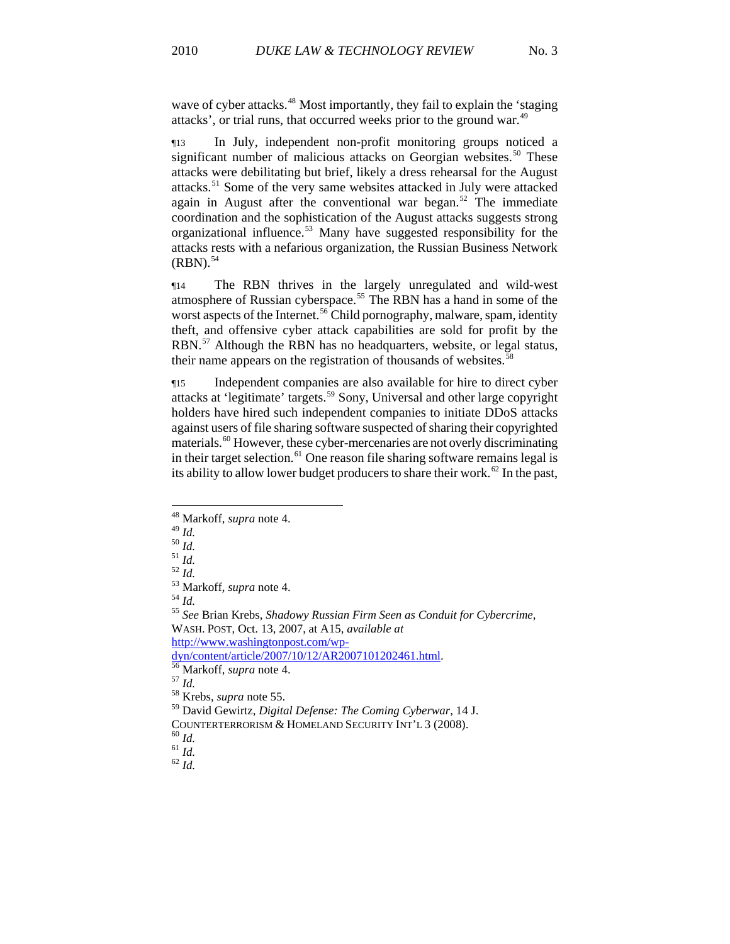wave of cyber attacks.<sup>48</sup> Most importantly, they fail to explain the 'staging attacks', or trial runs, that occurred weeks prior to the ground war.49

¶13 In July, independent non-profit monitoring groups noticed a significant number of malicious attacks on Georgian websites.<sup>[50](#page-6-0)</sup> These attacks were debilitating but brief, likely a dress rehearsal for the August attacks.[51](#page-6-1) Some of the very same websites attacked in July were attacked again in August after the conventional war began.<sup>[52](#page-6-2)</sup> The immediate coordination and the sophistication of the August attacks suggests strong organizational influence.[53](#page-6-3) Many have suggested responsibility for the attacks rests with a nefarious organization, the Russian Business Network  $(RBN).$ <sup>[54](#page-6-4)</sup>

¶14 The RBN thrives in the largely unregulated and wild-west atmosphere of Russian cyberspace.[55](#page-6-5) The RBN has a hand in some of the worst aspects of the Internet.<sup>[56](#page-6-6)</sup> Child pornography, malware, spam, identity theft, and offensive cyber attack capabilities are sold for profit by the RBN.<sup>[57](#page-6-7)</sup> Although the RBN has no headquarters, website, or legal status, their name appears on the registration of thousands of websites.<sup>[58](#page-6-8)</sup>

¶15 Independent companies are also available for hire to direct cyber attacks at 'legitimate' targets.[59](#page-6-9) Sony, Universal and other large copyright holders have hired such independent companies to initiate DDoS attacks against users of file sharing software suspected of sharing their copyrighted materials.<sup>[60](#page-6-10)</sup> However, these cyber-mercenaries are not overly discriminating in their target selection.<sup>[61](#page-6-11)</sup> One reason file sharing software remains legal is its ability to allow lower budget producers to share their work.<sup>[62](#page-6-12)</sup> In the past,

l

<span id="page-6-5"></span><span id="page-6-4"></span>

<sup>48</sup> Markoff, *supra* note 4.

<span id="page-6-3"></span><span id="page-6-2"></span>

<span id="page-6-1"></span><span id="page-6-0"></span><sup>49</sup> *Id.*<br>
<sup>50</sup> *Id.*<br>
<sup>51</sup> *Id.*<br>
<sup>52</sup> *Id.*<br>
<sup>53</sup> Markoff, *supra* note 4.<br>
<sup>54</sup> *Id.*<br>
<sup>55</sup> See Brian Krebs, *Shadowy Russian Firm Seen as Conduit for Cybercrime*, WASH. POST, Oct. 13, 2007, at A15, *available at* [http://www.washingtonpost.com/wp-](http://www.washingtonpost.com/wp-dyn/content/article/2007/10/12/AR2007101202461.html)

<span id="page-6-6"></span>[dyn/content/article/2007/10/12/AR2007101202461.html.](http://www.washingtonpost.com/wp-dyn/content/article/2007/10/12/AR2007101202461.html)<br>
<sup>[56](http://www.washingtonpost.com/wp-dyn/content/article/2007/10/12/AR2007101202461.html)</sup> Markoff, *supra* note 4.<br>
<sup>57</sup> *Id.*<br>
<sup>58</sup> Krebs, *supra* note 55.

<span id="page-6-7"></span>

<span id="page-6-9"></span><span id="page-6-8"></span><sup>59</sup> David Gewirtz, *Digital Defense: The Coming Cyberwar*, 14 J.

<span id="page-6-10"></span>COUNTERTERRORISM & HOMELAND SECURITY INT'L 3 (2008).  $^{60}$  *Id.* 61 *Id.* 62 *Id* 

<span id="page-6-12"></span><span id="page-6-11"></span>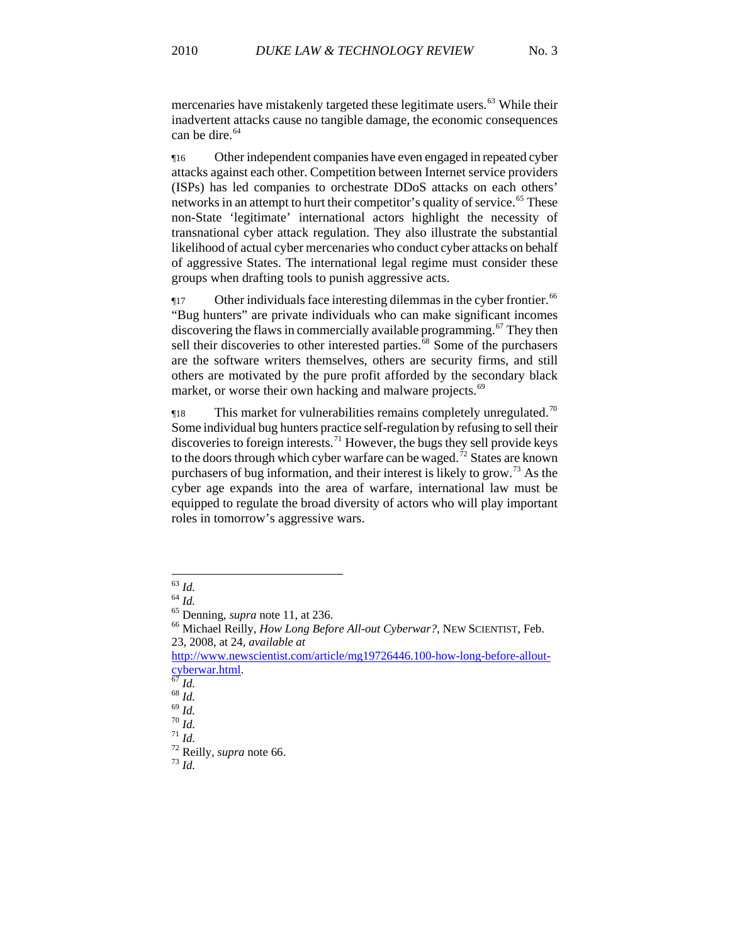mercenaries have mistakenly targeted these legitimate users.<sup>63</sup> While their inadvertent attacks cause no tangible damage, the economic consequences can be dire.<sup>64</sup>

¶16 Other independent companies have even engaged in repeated cyber attacks against each other. Competition between Internet service providers (ISPs) has led companies to orchestrate DDoS attacks on each others' networks in an attempt to hurt their competitor's quality of service.<sup>[65](#page-7-0)</sup> These non-State 'legitimate' international actors highlight the necessity of transnational cyber attack regulation. They also illustrate the substantial likelihood of actual cyber mercenaries who conduct cyber attacks on behalf of aggressive States. The international legal regime must consider these groups when drafting tools to punish aggressive acts.

 $\P$ 17 Other individuals face interesting dilemmas in the cyber frontier.<sup>[66](#page-7-1)</sup> "Bug hunters" are private individuals who can make significant incomes discovering the flaws in commercially available programming.<sup>[67](#page-7-2)</sup> They then sell their discoveries to other interested parties.<sup>[68](#page-7-3)</sup> Some of the purchasers are the software writers themselves, others are security firms, and still others are motivated by the pure profit afforded by the secondary black market, or worse their own hacking and malware projects.<sup>69</sup>

 $\eta$ 18 This market for vulnerabilities remains completely unregulated.<sup>[70](#page-7-4)</sup> Some individual bug hunters practice self-regulation by refusing to sell their discoveries to foreign interests.<sup>[71](#page-7-5)</sup> However, the bugs they sell provide keys to the doors through which cyber warfare can be waged.<sup>[72](#page-7-6)</sup> States are known purchasers of bug information, and their interest is likely to grow.<sup>73</sup> As the cyber age expands into the area of warfare, international law must be equipped to regulate the broad diversity of actors who will play important roles in tomorrow's aggressive wars.

 $^{63}$   $\mathit{Id}.$ 

<span id="page-7-1"></span><span id="page-7-0"></span><sup>&</sup>lt;sup>64</sup> *Id.*<br><sup>65</sup> Denning, *supra* note 11, at 236.<br><sup>66</sup> Michael Reilly, *How Long Before All-out Cyberwar?*, NEW SCIENTIST, Feb. 23, 2008, at 24, *available at*

[http://www.newscientist.com/article/mg19726446.100-how-long-before-allout-](http://www.newscientist.com/article/mg19726446.100-how-long-before-allout-cyberwar.html)

<span id="page-7-7"></span><span id="page-7-6"></span><span id="page-7-5"></span><span id="page-7-4"></span>

<span id="page-7-3"></span><span id="page-7-2"></span>[cyberwar.html.](http://www.newscientist.com/article/mg19726446.100-how-long-before-allout-cyberwar.html) [67](http://www.newscientist.com/article/mg19726446.100-how-long-before-allout-cyberwar.html) *Id.* <sup>68</sup> *Id.* <sup>69</sup> *Id.* <sup>70</sup> *Id.* <sup>71</sup> *Id.* 72 Reilly, *supra* note 66. 73 *Id.*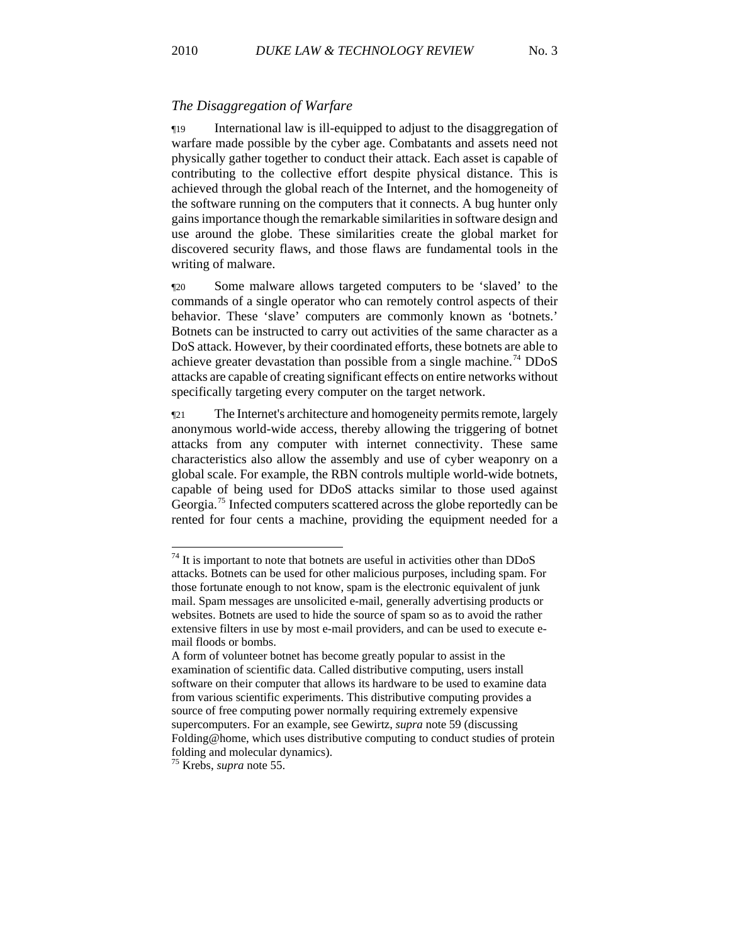#### *The Disaggregation of Warfare*

¶19 International law is ill-equipped to adjust to the disaggregation of warfare made possible by the cyber age. Combatants and assets need not physically gather together to conduct their attack. Each asset is capable of contributing to the collective effort despite physical distance. This is achieved through the global reach of the Internet, and the homogeneity of the software running on the computers that it connects. A bug hunter only gains importance though the remarkable similarities in software design and use around the globe. These similarities create the global market for discovered security flaws, and those flaws are fundamental tools in the writing of malware.

¶20 Some malware allows targeted computers to be 'slaved' to the commands of a single operator who can remotely control aspects of their behavior. These 'slave' computers are commonly known as 'botnets.' Botnets can be instructed to carry out activities of the same character as a DoS attack. However, by their coordinated efforts, these botnets are able to achieve greater devastation than possible from a single machine.<sup>[74](#page-8-0)</sup> DDoS attacks are capable of creating significant effects on entire networks without specifically targeting every computer on the target network.

¶21 The Internet's architecture and homogeneity permits remote, largely anonymous world-wide access, thereby allowing the triggering of botnet attacks from any computer with internet connectivity. These same characteristics also allow the assembly and use of cyber weaponry on a global scale. For example, the RBN controls multiple world-wide botnets, capable of being used for DDoS attacks similar to those used against Georgia.<sup>[75](#page-8-1)</sup> Infected computers scattered across the globe reportedly can be rented for four cents a machine, providing the equipment needed for a

<span id="page-8-0"></span> $74$  It is important to note that botnets are useful in activities other than DDoS attacks. Botnets can be used for other malicious purposes, including spam. For those fortunate enough to not know, spam is the electronic equivalent of junk mail. Spam messages are unsolicited e-mail, generally advertising products or websites. Botnets are used to hide the source of spam so as to avoid the rather extensive filters in use by most e-mail providers, and can be used to execute email floods or bombs.

A form of volunteer botnet has become greatly popular to assist in the examination of scientific data. Called distributive computing, users install software on their computer that allows its hardware to be used to examine data from various scientific experiments. This distributive computing provides a source of free computing power normally requiring extremely expensive supercomputers. For an example, see Gewirtz, *supra* note 59 (discussing Folding@home, which uses distributive computing to conduct studies of protein folding and molecular dynamics).

<span id="page-8-1"></span><sup>75</sup> Krebs, *supra* note 55.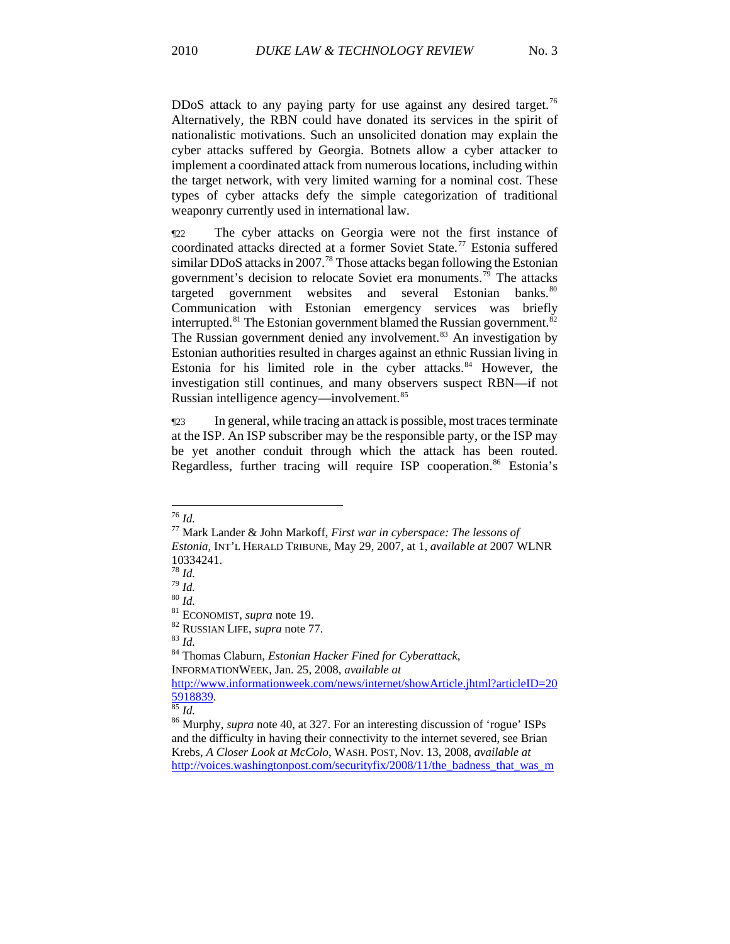DDoS attack to any paying party for use against any desired target.<sup>76</sup> Alternatively, the RBN could have donated its services in the spirit of nationalistic motivations. Such an unsolicited donation may explain the cyber attacks suffered by Georgia. Botnets allow a cyber attacker to implement a coordinated attack from numerous locations, including within the target network, with very limited warning for a nominal cost. These types of cyber attacks defy the simple categorization of traditional weaponry currently used in international law.

¶22 The cyber attacks on Georgia were not the first instance of coordinated attacks directed at a former Soviet State.[77](#page-9-0) Estonia suffered similar DDoS attacks in 2007.<sup>[78](#page-9-1)</sup> Those attacks began following the Estonian government's decision to relocate Soviet era monuments.[79](#page-9-2) The attacks targeted government websites and several Estonian banks.<sup>[80](#page-9-3)</sup> Communication with Estonian emergency services was briefly interrupted.<sup>[81](#page-9-4)</sup> The Estonian government blamed the Russian government.<sup>[82](#page-9-5)</sup> The Russian government denied any involvement.<sup>[83](#page-9-6)</sup> An investigation by Estonian authorities resulted in charges against an ethnic Russian living in Estonia for his limited role in the cyber attacks.<sup>[84](#page-9-7)</sup> However, the investigation still continues, and many observers suspect RBN—if not Russian intelligence agency—involvement.<sup>85</sup>

¶23 In general, while tracing an attack is possible, most traces terminate at the ISP. An ISP subscriber may be the responsible party, or the ISP may be yet another conduit through which the attack has been routed. Regardless, further tracing will require ISP cooperation.<sup>[86](#page-9-8)</sup> Estonia's

 $^{76}\,$  Id.

<span id="page-9-0"></span><sup>76</sup> *Id.* 77 Mark Lander & John Markoff, *First war in cyberspace: The lessons of Estonia*, INT'L HERALD TRIBUNE, May 29, 2007, at 1, *available at* 2007 WLNR  $\frac{10334241}{78}$  *Id.* 

<span id="page-9-7"></span><span id="page-9-6"></span><span id="page-9-5"></span><span id="page-9-4"></span>

<span id="page-9-3"></span><span id="page-9-2"></span><span id="page-9-1"></span><sup>78</sup> *Id.* <sup>79</sup> *Id.* <sup>80</sup> *Id.* 81 ECONOMIST, *supra* note 19. 82 RUSSIAN LIFE, *supra* note 77. 83 *Id.* 84 Thomas Claburn, *Estonian Hacker Fined for Cyberattack*, INFORMATIONWEEK, Jan. 25, 2008, *available at* 

[http://www.informationweek.com/news/internet/showArticle.jhtml?articleID=20](http://www.informationweek.com/news/internet/showArticle.jhtml?articleID=205918839) [5918839.](http://www.informationweek.com/news/internet/showArticle.jhtml?articleID=205918839) [85](http://www.informationweek.com/news/internet/showArticle.jhtml?articleID=205918839) *Id.* 86 Murphy, *supra* note 40, at 327. For an interesting discussion of 'rogue' ISPs

<span id="page-9-8"></span>and the difficulty in having their connectivity to the internet severed, see Brian Krebs, *A Closer Look at McColo*, WASH. POST, Nov. 13, 2008, *available at*  [http://voices.washingtonpost.com/securityfix/2008/11/the\\_badness\\_that\\_was\\_m](http://voices.washingtonpost.com/securityfix/2008/11/the_badness_that_was_mccolo.html)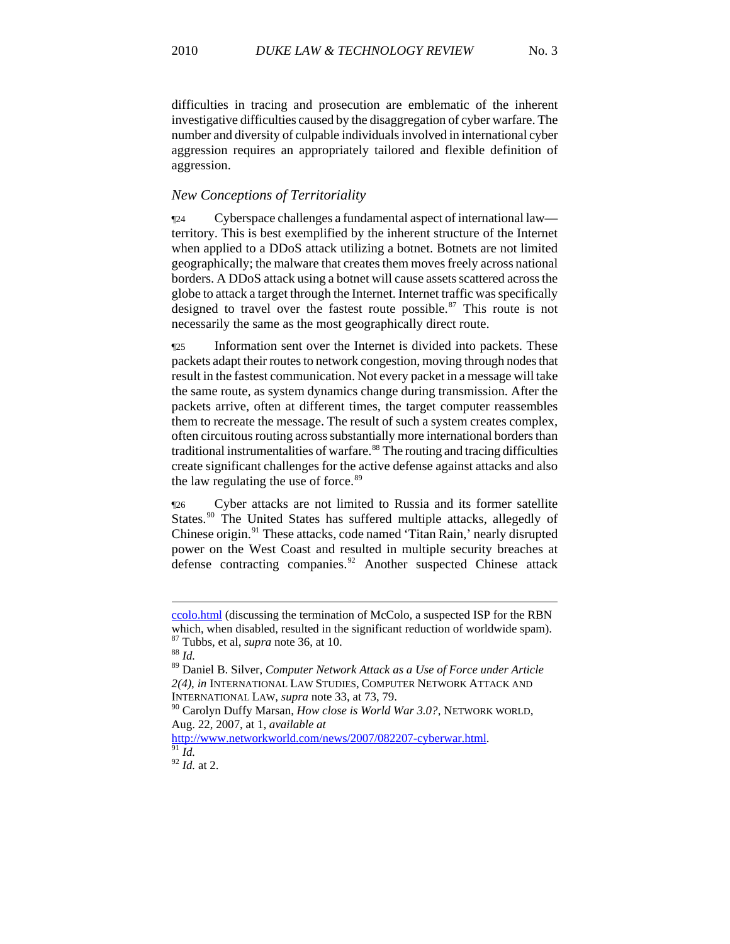difficulties in tracing and prosecution are emblematic of the inherent investigative difficulties caused by the disaggregation of cyber warfare. The number and diversity of culpable individuals involved in international cyber aggression requires an appropriately tailored and flexible definition of aggression.

# *New Conceptions of Territoriality*

¶24 Cyberspace challenges a fundamental aspect of international law territory. This is best exemplified by the inherent structure of the Internet when applied to a DDoS attack utilizing a botnet. Botnets are not limited geographically; the malware that creates them moves freely across national borders. A DDoS attack using a botnet will cause assets scattered across the globe to attack a target through the Internet. Internet traffic was specifically designed to travel over the fastest route possible. $87$  This route is not necessarily the same as the most geographically direct route.

¶25 Information sent over the Internet is divided into packets. These packets adapt their routes to network congestion, moving through nodes that result in the fastest communication. Not every packet in a message will take the same route, as system dynamics change during transmission. After the packets arrive, often at different times, the target computer reassembles them to recreate the message. The result of such a system creates complex, often circuitous routing across substantially more international borders than traditional instrumentalities of warfare.<sup>[88](#page-10-1)</sup> The routing and tracing difficulties create significant challenges for the active defense against attacks and also the law regulating the use of force.<sup>[89](#page-10-2)</sup>

¶26 Cyber attacks are not limited to Russia and its former satellite States.<sup>[90](#page-10-3)</sup> The United States has suffered multiple attacks, allegedly of Chinese origin.<sup>[91](#page-10-4)</sup> These attacks, code named 'Titan Rain,' nearly disrupted power on the West Coast and resulted in multiple security breaches at defense contracting companies.<sup>[92](#page-10-5)</sup> Another suspected Chinese attack

[ccolo.html](http://voices.washingtonpost.com/securityfix/2008/11/the_badness_that_was_mccolo.html) (discussing the termination of McColo, a suspected ISP for the RBN which, when disabled, resulted in the significant reduction of worldwide spam). <sup>87</sup> Tubbs, et al, *supra* note 36, at 10. <sup>88</sup> *Id* 

<span id="page-10-1"></span><span id="page-10-0"></span>

<span id="page-10-2"></span><sup>89</sup> Daniel B. Silver, *Computer Network Attack as a Use of Force under Article 2(4)*, *in* INTERNATIONAL LAW STUDIES, COMPUTER NETWORK ATTACK AND INTERNATIONAL LAW, *supra* note 33, at 73, 79.

<span id="page-10-3"></span><sup>90</sup> Carolyn Duffy Marsan, *How close is World War 3.0?*, NETWORK WORLD, Aug. 22, 2007, at 1, *available at*

<http://www.networkworld.com/news/2007/082207-cyberwar.html>. [91](http://www.networkworld.com/news/2007/082207-cyberwar.html) *Id.*

<span id="page-10-5"></span><span id="page-10-4"></span><sup>92</sup> *Id.* at 2.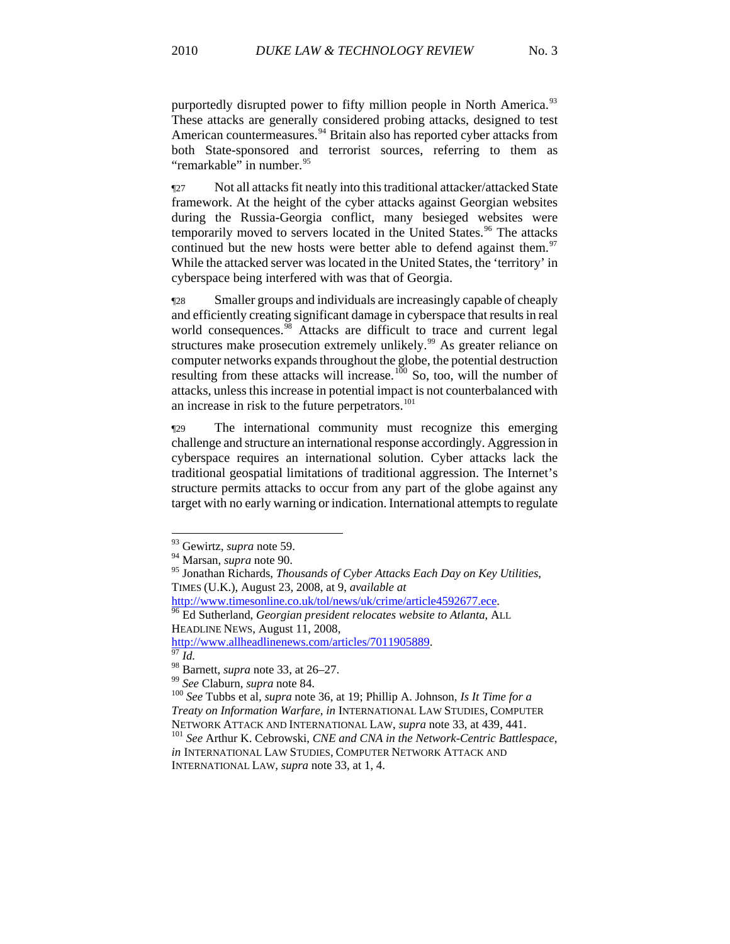purportedly disrupted power to fifty million people in North America.<sup>93</sup> These attacks are generally considered probing attacks, designed to test American countermeasures.<sup>94</sup> Britain also has reported cyber attacks from both State-sponsored and terrorist sources, referring to them as "remarkable" in number.<sup>95</sup>

¶27 Not all attacks fit neatly into this traditional attacker/attacked State framework. At the height of the cyber attacks against Georgian websites during the Russia-Georgia conflict, many besieged websites were temporarily moved to servers located in the United States.<sup>[96](#page-11-0)</sup> The attacks continued but the new hosts were better able to defend against them.<sup>[97](#page-11-1)</sup> While the attacked server was located in the United States, the 'territory' in cyberspace being interfered with was that of Georgia.

¶28 Smaller groups and individuals are increasingly capable of cheaply and efficiently creating significant damage in cyberspace that results in real world consequences.<sup>[98](#page-11-2)</sup> Attacks are difficult to trace and current legal structures make prosecution extremely unlikely.<sup>[99](#page-11-3)</sup> As greater reliance on computer networks expands throughout the globe, the potential destruction resulting from these attacks will increase.<sup>[100](#page-11-4)</sup> So, too, will the number of attacks, unless this increase in potential impact is not counterbalanced with an increase in risk to the future perpetrators.<sup>[101](#page-11-5)</sup>

¶29 The international community must recognize this emerging challenge and structure an international response accordingly. Aggression in cyberspace requires an international solution. Cyber attacks lack the traditional geospatial limitations of traditional aggression. The Internet's structure permits attacks to occur from any part of the globe against any target with no early warning or indication. International attempts to regulate

1

<span id="page-11-0"></span><sup>[96](http://www.timesonline.co.uk/tol/news/uk/crime/article4592677.ece)</sup> Ed Sutherland, *Georgian president relocates website to Atlanta*, ALL HEADLINE NEWS, August 11, 2008,

<span id="page-11-1"></span>[http://www.allheadlinenews.com/articles/7011905889.](http://www.allheadlinenews.com/articles/7011905889)<br><sup>[97](http://www.allheadlinenews.com/articles/7011905889)</sup> *Id.* 98 Barnett, *supra* note 33, at 26–27.

<sup>93</sup> Gewirtz, *supra* note 59.

<sup>94</sup> Marsan, *supra* note 90.

<sup>95</sup> Jonathan Richards, *Thousands of Cyber Attacks Each Day on Key Utilities*, TIMES (U.K.), August 23, 2008, at 9, *available at*

<span id="page-11-4"></span><span id="page-11-3"></span><span id="page-11-2"></span><sup>&</sup>lt;sup>99</sup> See Claburn, *supra* note 84.<br><sup>100</sup> See Tubbs et al, *supra* note 36, at 19; Phillip A. Johnson, *Is It Time for a Treaty on Information Warfare*, *in* INTERNATIONAL LAW STUDIES, COMPUTER NETWORK ATTACK AND INTERNATIONAL LAW, *supra* note 33, at 439, 441.<br><sup>101</sup> *See* Arthur K. Cebrowski, *CNE and CNA in the Network-Centric Battlespace*,

<span id="page-11-5"></span>*in* INTERNATIONAL LAW STUDIES, COMPUTER NETWORK ATTACK AND INTERNATIONAL LAW, *supra* note 33, at 1, 4.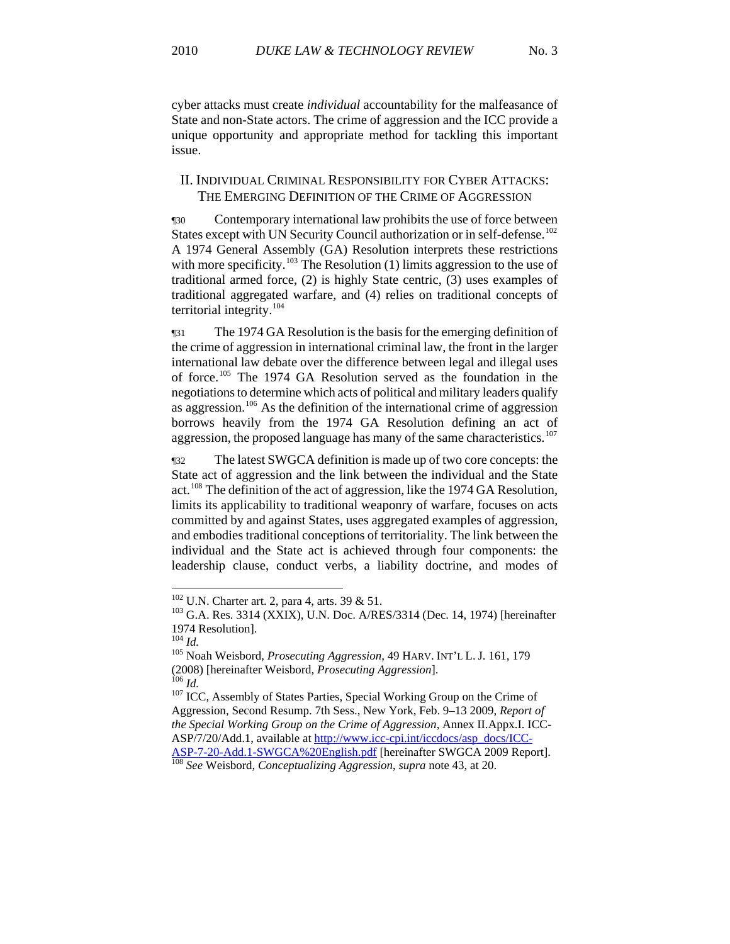cyber attacks must create *individual* accountability for the malfeasance of State and non-State actors. The crime of aggression and the ICC provide a unique opportunity and appropriate method for tackling this important issue.

# II. INDIVIDUAL CRIMINAL RESPONSIBILITY FOR CYBER ATTACKS: THE EMERGING DEFINITION OF THE CRIME OF AGGRESSION

¶30 Contemporary international law prohibits the use of force between States except with UN Security Council authorization or in self-defense.<sup>[102](#page-12-0)</sup> A 1974 General Assembly (GA) Resolution interprets these restrictions with more specificity.<sup>[103](#page-12-1)</sup> The Resolution  $(1)$  limits aggression to the use of traditional armed force, (2) is highly State centric, (3) uses examples of traditional aggregated warfare, and (4) relies on traditional concepts of territorial integrity.[104](#page-12-2)

¶31 The 1974 GA Resolution is the basis for the emerging definition of the crime of aggression in international criminal law, the front in the larger international law debate over the difference between legal and illegal uses of force.[105](#page-12-3) The 1974 GA Resolution served as the foundation in the negotiations to determine which acts of political and military leaders qualify as aggression.<sup>[106](#page-12-4)</sup> As the definition of the international crime of aggression borrows heavily from the 1974 GA Resolution defining an act of aggression, the proposed language has many of the same characteristics.<sup>[107](#page-12-5)</sup>

¶32 The latest SWGCA definition is made up of two core concepts: the State act of aggression and the link between the individual and the State act.[108](#page-12-6) The definition of the act of aggression, like the 1974 GA Resolution, limits its applicability to traditional weaponry of warfare, focuses on acts committed by and against States, uses aggregated examples of aggression, and embodies traditional conceptions of territoriality. The link between the individual and the State act is achieved through four components: the leadership clause, conduct verbs, a liability doctrine, and modes of

<span id="page-12-0"></span> $102$  U.N. Charter art. 2, para 4, arts. 39 & 51.

<span id="page-12-1"></span> $103$  G.A. Res. 3314 (XXIX), U.N. Doc. A/RES/3314 (Dec. 14, 1974) [hereinafter 1974 Resolution].<br> $^{104}$  *Id.* 

<span id="page-12-3"></span><span id="page-12-2"></span><sup>&</sup>lt;sup>105</sup> Noah Weisbord, *Prosecuting Aggression*, 49 HARV. INT'L L. J. 161, 179 (2008) [hereinafter Weisbord*, Prosecuting Aggression*]. 106 *Id.* 107 ICC, Assembly of States Parties, Special Working Group on the Crime of

<span id="page-12-5"></span><span id="page-12-4"></span>Aggression, Second Resump. 7th Sess., New York, Feb. 9–13 2009, *Report of the Special Working Group on the Crime of Aggression*, Annex II.Appx.I. ICCASP/7/20/Add.1, available at [http://www.icc-cpi.int/iccdocs/asp\\_docs/ICC-](http://www.icc-cpi.int/iccdocs/asp_docs/ICC-ASP-7-20-Add.1-SWGCA%20English.pdf)[ASP-7-20-Add.1-SWGCA%20English.pdf](http://www.icc-cpi.int/iccdocs/asp_docs/ICC-ASP-7-20-Add.1-SWGCA%20English.pdf) [hereinafter SWGCA 2009 Report]. [108](http://www.icc-cpi.int/iccdocs/asp_docs/ICC-ASP-7-20-Add.1-SWGCA%20English.pdf) *See* Weisbord, *Conceptualizing Aggression*, *supra* note 43, at 20.

<span id="page-12-6"></span>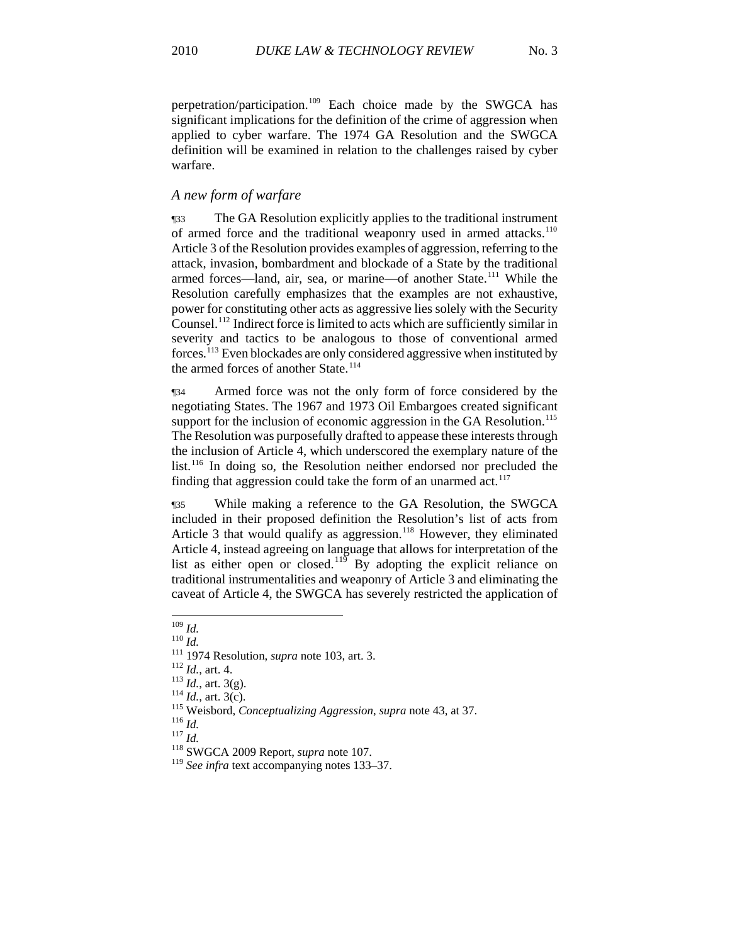perpetration/participation.109 Each choice made by the SWGCA has significant implications for the definition of the crime of aggression when applied to cyber warfare. The 1974 GA Resolution and the SWGCA definition will be examined in relation to the challenges raised by cyber warfare.

# *A new form of warfare*

¶33 The GA Resolution explicitly applies to the traditional instrument of armed force and the traditional weaponry used in armed attacks.<sup>[110](#page-13-0)</sup> Article 3 of the Resolution provides examples of aggression, referring to the attack, invasion, bombardment and blockade of a State by the traditional armed forces—land, air, sea, or marine—of another State.[111](#page-13-1) While the Resolution carefully emphasizes that the examples are not exhaustive, power for constituting other acts as aggressive lies solely with the Security Counsel.[112](#page-13-2) Indirect force is limited to acts which are sufficiently similar in severity and tactics to be analogous to those of conventional armed forces.[113](#page-13-3) Even blockades are only considered aggressive when instituted by the armed forces of another State.<sup>[114](#page-13-4)</sup>

¶34 Armed force was not the only form of force considered by the negotiating States. The 1967 and 1973 Oil Embargoes created significant support for the inclusion of economic aggression in the GA Resolution.<sup>[115](#page-13-5)</sup> The Resolution was purposefully drafted to appease these interests through the inclusion of Article 4, which underscored the exemplary nature of the list.<sup>[116](#page-13-6)</sup> In doing so, the Resolution neither endorsed nor precluded the finding that aggression could take the form of an unarmed  $act.$ <sup>117</sup>

¶35 While making a reference to the GA Resolution, the SWGCA included in their proposed definition the Resolution's list of acts from Article 3 that would qualify as aggression.<sup>[118](#page-13-8)</sup> However, they eliminated Article 4, instead agreeing on language that allows for interpretation of the list as either open or closed.<sup>[119](#page-13-9)</sup> By adopting the explicit reliance on traditional instrumentalities and weaponry of Article 3 and eliminating the caveat of Article 4, the SWGCA has severely restricted the application of

 $^{109}\,$  Id.

<span id="page-13-3"></span><span id="page-13-2"></span>

<span id="page-13-5"></span><span id="page-13-4"></span>

<span id="page-13-1"></span><span id="page-13-0"></span><sup>&</sup>lt;sup>110</sup> *Id.*<br>
<sup>111</sup> 1974 Resolution, *supra* note 103, art. 3.<br>
<sup>112</sup> *Id.*, art. 4.<br>
<sup>113</sup> *Id.*, art. 3(g).<br>
<sup>114</sup> *Id.*, art. 3(c).<br>
<sup>115</sup> Weisbord, *Conceptualizing Aggression*, *supra* note 43, at 37.<br>
<sup>116</sup> *Id.*<br>
<sup>1</sup>

<span id="page-13-7"></span><span id="page-13-6"></span>

<span id="page-13-9"></span><span id="page-13-8"></span>

<sup>&</sup>lt;sup>119</sup> See infra text accompanying notes 133–37.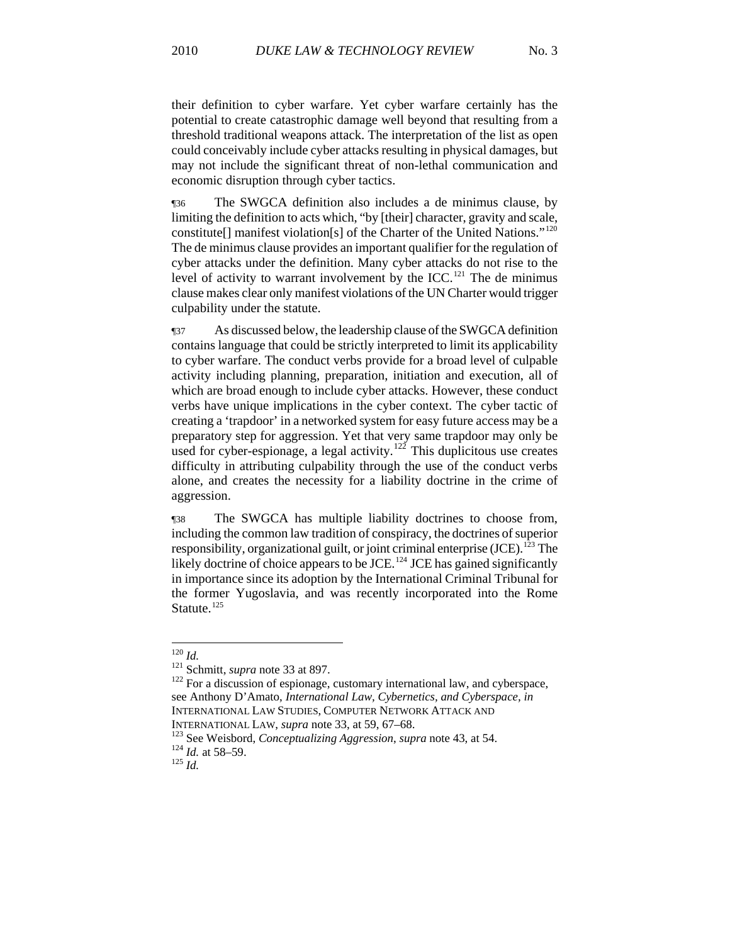their definition to cyber warfare. Yet cyber warfare certainly has the potential to create catastrophic damage well beyond that resulting from a threshold traditional weapons attack. The interpretation of the list as open could conceivably include cyber attacks resulting in physical damages, but may not include the significant threat of non-lethal communication and economic disruption through cyber tactics.

¶36 The SWGCA definition also includes a de minimus clause, by limiting the definition to acts which, "by [their] character, gravity and scale, constitute[] manifest violation[s] of the Charter of the United Nations."[120](#page-14-0) The de minimus clause provides an important qualifier for the regulation of cyber attacks under the definition. Many cyber attacks do not rise to the level of activity to warrant involvement by the  $ICC.^{121}$  $ICC.^{121}$  $ICC.^{121}$ . The de minimus clause makes clear only manifest violations of the UN Charter would trigger culpability under the statute.

¶37 As discussed below, the leadership clause of the SWGCA definition contains language that could be strictly interpreted to limit its applicability to cyber warfare. The conduct verbs provide for a broad level of culpable activity including planning, preparation, initiation and execution, all of which are broad enough to include cyber attacks. However, these conduct verbs have unique implications in the cyber context. The cyber tactic of creating a 'trapdoor' in a networked system for easy future access may be a preparatory step for aggression. Yet that very same trapdoor may only be used for cyber-espionage, a legal activity.<sup>[122](#page-14-2)</sup> This duplicitous use creates difficulty in attributing culpability through the use of the conduct verbs alone, and creates the necessity for a liability doctrine in the crime of aggression.

¶38 The SWGCA has multiple liability doctrines to choose from, including the common law tradition of conspiracy, the doctrines of superior responsibility, organizational guilt, or joint criminal enterprise  $(*JCE*)$ .<sup>[123](#page-14-3)</sup> The likely doctrine of choice appears to be JCE.<sup>[124](#page-14-4)</sup> JCE has gained significantly in importance since its adoption by the International Criminal Tribunal for the former Yugoslavia, and was recently incorporated into the Rome Statute.<sup>[125](#page-14-5)</sup>

<span id="page-14-0"></span> $120$  *Id.* 

<span id="page-14-2"></span><span id="page-14-1"></span><sup>&</sup>lt;sup>121</sup> Schmitt, *supra* note 33 at 897.<br><sup>122</sup> For a discussion of espionage, customary international law, and cyberspace, see Anthony D'Amato, *International Law, Cybernetics, and Cyberspace, in* INTERNATIONAL LAW STUDIES, COMPUTER NETWORK ATTACK AND

<span id="page-14-4"></span><span id="page-14-3"></span>INTERNATIONAL LAW, *supra* note 33, at 59, 67–68.<br><sup>123</sup> See Weisbord, *Conceptualizing Aggression*, *supra* note 43, at 54.<br><sup>124</sup> *Id.* at 58–59.<br><sup>125</sup> *Id* 

<span id="page-14-5"></span>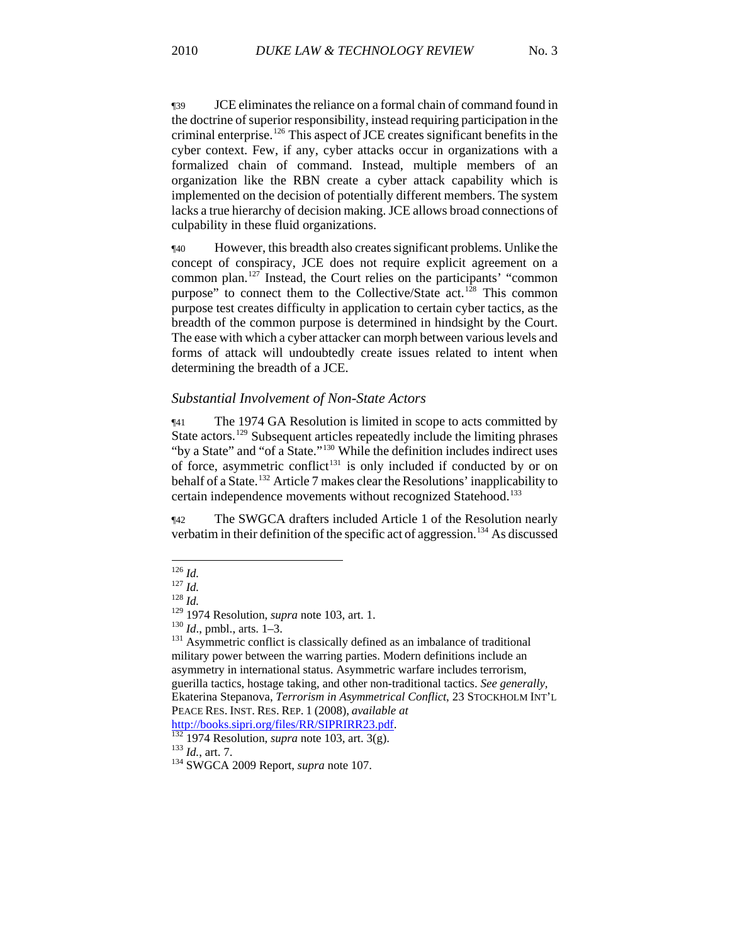¶39 JCE eliminates the reliance on a formal chain of command found in the doctrine of superior responsibility, instead requiring participation in the criminal enterprise.[126](#page-15-0) This aspect of JCE creates significant benefits in the cyber context. Few, if any, cyber attacks occur in organizations with a formalized chain of command. Instead, multiple members of an organization like the RBN create a cyber attack capability which is implemented on the decision of potentially different members. The system lacks a true hierarchy of decision making. JCE allows broad connections of culpability in these fluid organizations.

¶40 However, this breadth also creates significant problems. Unlike the concept of conspiracy, JCE does not require explicit agreement on a common plan.[127](#page-15-1) Instead, the Court relies on the participants' "common purpose" to connect them to the Collective/State act.<sup>[128](#page-15-2)</sup> This common purpose test creates difficulty in application to certain cyber tactics, as the breadth of the common purpose is determined in hindsight by the Court. The ease with which a cyber attacker can morph between various levels and forms of attack will undoubtedly create issues related to intent when determining the breadth of a JCE.

#### *Substantial Involvement of Non-State Actors*

¶41 The 1974 GA Resolution is limited in scope to acts committed by State actors.[129](#page-15-3) Subsequent articles repeatedly include the limiting phrases "by a State" and "of a State."<sup>[130](#page-15-4)</sup> While the definition includes indirect uses of force, asymmetric conflict<sup>[131](#page-15-5)</sup> is only included if conducted by or on behalf of a State.<sup>[132](#page-15-6)</sup> Article 7 makes clear the Resolutions' inapplicability to certain independence movements without recognized Statehood.<sup>[133](#page-15-7)</sup>

¶42 The SWGCA drafters included Article 1 of the Resolution nearly verbatim in their definition of the specific act of aggression.[134](#page-15-8) As discussed

<span id="page-15-0"></span> $126$  *Id.* 

<span id="page-15-2"></span><span id="page-15-1"></span><sup>127</sup> *Id.*<br><sup>128</sup> *Id.*<br><sup>129</sup> 1974 Resolution, *supra* note 103, art. 1.

<span id="page-15-5"></span><span id="page-15-4"></span><span id="page-15-3"></span><sup>&</sup>lt;sup>130</sup> *Id.*, pmbl., arts. 1–3.<br><sup>131</sup> Asymmetric conflict is classically defined as an imbalance of traditional military power between the warring parties. Modern definitions include an asymmetry in international status. Asymmetric warfare includes terrorism, guerilla tactics, hostage taking, and other non-traditional tactics. *See generally,*  Ekaterina Stepanova, *Terrorism in Asymmetrical Conflict*, 23 STOCKHOLM INT'L PEACE RES. INST. RES. REP. 1 (2008), *available at* 

<span id="page-15-6"></span><sup>&</sup>lt;sup>[132](http://books.sipri.org/files/RR/SIPRIRR23.pdf)</sup> 1974 Resolution, *supra* note 103, art. 3(g). <sup>133</sup> *Id.*, art. 7. <sup>134</sup> SWGCA 2009 Report, *supra* note 107.

<span id="page-15-8"></span><span id="page-15-7"></span>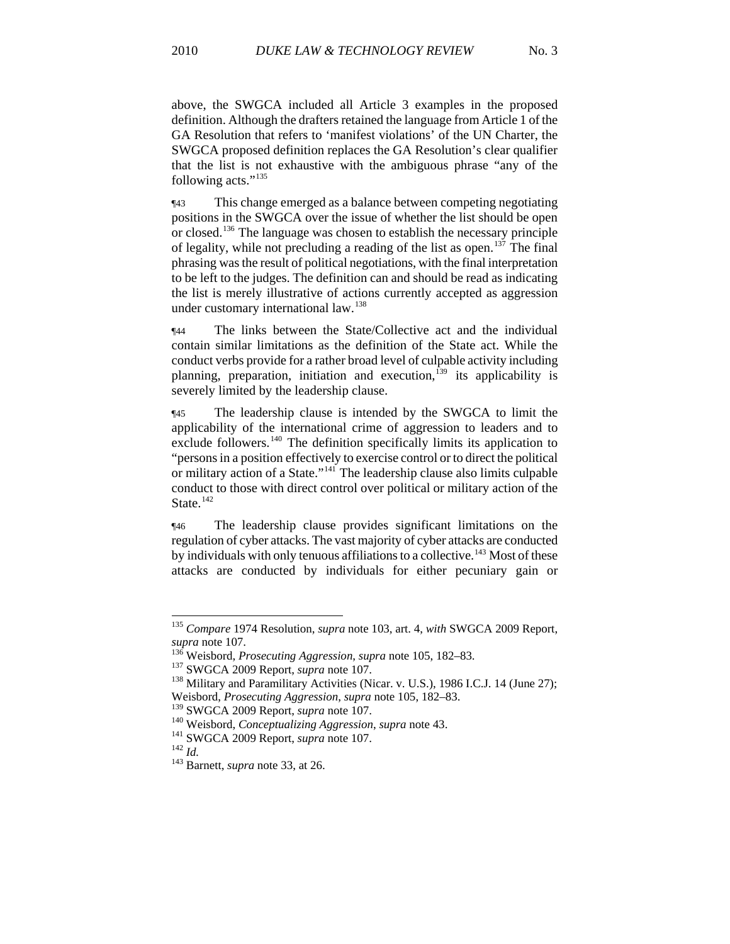above, the SWGCA included all Article 3 examples in the proposed definition. Although the drafters retained the language from Article 1 of the GA Resolution that refers to 'manifest violations' of the UN Charter, the SWGCA proposed definition replaces the GA Resolution's clear qualifier that the list is not exhaustive with the ambiguous phrase "any of the following acts."<sup>135</sup>

¶43 This change emerged as a balance between competing negotiating positions in the SWGCA over the issue of whether the list should be open or closed.[136](#page-16-0) The language was chosen to establish the necessary principle of legality, while not precluding a reading of the list as open.<sup>[137](#page-16-1)</sup> The final phrasing was the result of political negotiations, with the final interpretation to be left to the judges. The definition can and should be read as indicating the list is merely illustrative of actions currently accepted as aggression under customary international law.<sup>[138](#page-16-2)</sup>

¶44 The links between the State/Collective act and the individual contain similar limitations as the definition of the State act. While the conduct verbs provide for a rather broad level of culpable activity including planning, preparation, initiation and execution,<sup>[139](#page-16-3)</sup> its applicability is severely limited by the leadership clause.

¶45 The leadership clause is intended by the SWGCA to limit the applicability of the international crime of aggression to leaders and to exclude followers.<sup>[140](#page-16-4)</sup> The definition specifically limits its application to "persons in a position effectively to exercise control or to direct the political or military action of a State."[141](#page-16-5) The leadership clause also limits culpable conduct to those with direct control over political or military action of the State.<sup>[142](#page-16-6)</sup>

¶46 The leadership clause provides significant limitations on the regulation of cyber attacks. The vast majority of cyber attacks are conducted by individuals with only tenuous affiliations to a collective.<sup>[143](#page-16-7)</sup> Most of these attacks are conducted by individuals for either pecuniary gain or

<sup>135</sup> *Compare* 1974 Resolution, *supra* note 103, art. 4, *with* SWGCA 2009 Report, supra note 107.<br>
<sup>136</sup> Weisbord, *Prosecuting Aggression*, *supra* note 105, 182–83.<br>
<sup>137</sup> SWGCA 2009 Report, *supra* note 107.<br>
<sup>138</sup> Military and Paramilitary Activities (Nicar. v. U.S.), 1986 I.C.J. 14 (June 27);

<span id="page-16-0"></span>

<span id="page-16-1"></span>

<span id="page-16-2"></span>Weisbord, *Prosecuting Aggression*, *supra* note 105, 182–83.

<span id="page-16-4"></span><span id="page-16-3"></span><sup>&</sup>lt;sup>140</sup> Weisbord, *Conceptualizing Aggression*, *supra* note 43.<br><sup>141</sup> SWGCA 2009 Report, *supra* note 107.<br><sup>143</sup> Barnett, *supra* note 33, at 26.

<span id="page-16-7"></span><span id="page-16-6"></span><span id="page-16-5"></span>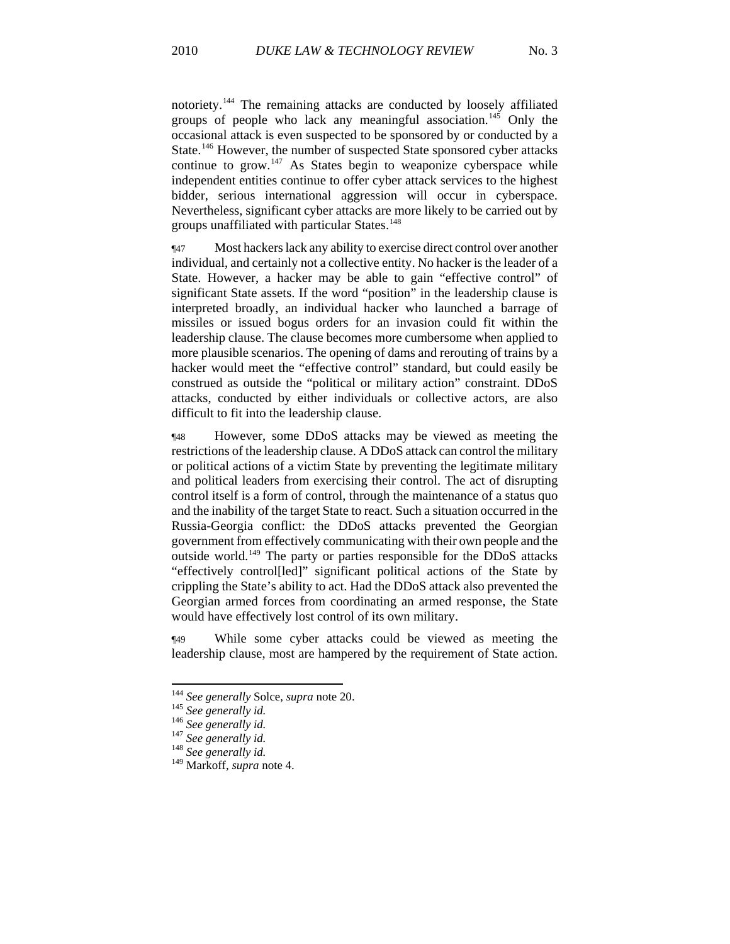notoriety.144 The remaining attacks are conducted by loosely affiliated groups of people who lack any meaningful association.<sup>145</sup> Only the occasional attack is even suspected to be sponsored by or conducted by a State.<sup>146</sup> However, the number of suspected State sponsored cyber attacks continue to grow.<sup>147</sup> As States begin to weaponize cyberspace while independent entities continue to offer cyber attack services to the highest bidder, serious international aggression will occur in cyberspace. Nevertheless, significant cyber attacks are more likely to be carried out by groups unaffiliated with particular States.<sup>148</sup>

¶47 Most hackers lack any ability to exercise direct control over another individual, and certainly not a collective entity. No hacker is the leader of a State. However, a hacker may be able to gain "effective control" of significant State assets. If the word "position" in the leadership clause is interpreted broadly, an individual hacker who launched a barrage of missiles or issued bogus orders for an invasion could fit within the leadership clause. The clause becomes more cumbersome when applied to more plausible scenarios. The opening of dams and rerouting of trains by a hacker would meet the "effective control" standard, but could easily be construed as outside the "political or military action" constraint. DDoS attacks, conducted by either individuals or collective actors, are also difficult to fit into the leadership clause.

¶48 However, some DDoS attacks may be viewed as meeting the restrictions of the leadership clause. A DDoS attack can control the military or political actions of a victim State by preventing the legitimate military and political leaders from exercising their control. The act of disrupting control itself is a form of control, through the maintenance of a status quo and the inability of the target State to react. Such a situation occurred in the Russia-Georgia conflict: the DDoS attacks prevented the Georgian government from effectively communicating with their own people and the outside world.[149](#page-17-0) The party or parties responsible for the DDoS attacks "effectively control[led]" significant political actions of the State by crippling the State's ability to act. Had the DDoS attack also prevented the Georgian armed forces from coordinating an armed response, the State would have effectively lost control of its own military.

¶49 While some cyber attacks could be viewed as meeting the leadership clause, most are hampered by the requirement of State action.

<sup>&</sup>lt;sup>144</sup> *See generally Solce, supra* note 20.<br><sup>145</sup> *See generally id.*<br><sup>146</sup> *See generally id.* <sup>147</sup> *See generally id.* <sup>148</sup> *See generally id.* 

<span id="page-17-0"></span>

<sup>&</sup>lt;sup>148</sup> See generally id.<br><sup>149</sup> Markoff, *supra* note 4.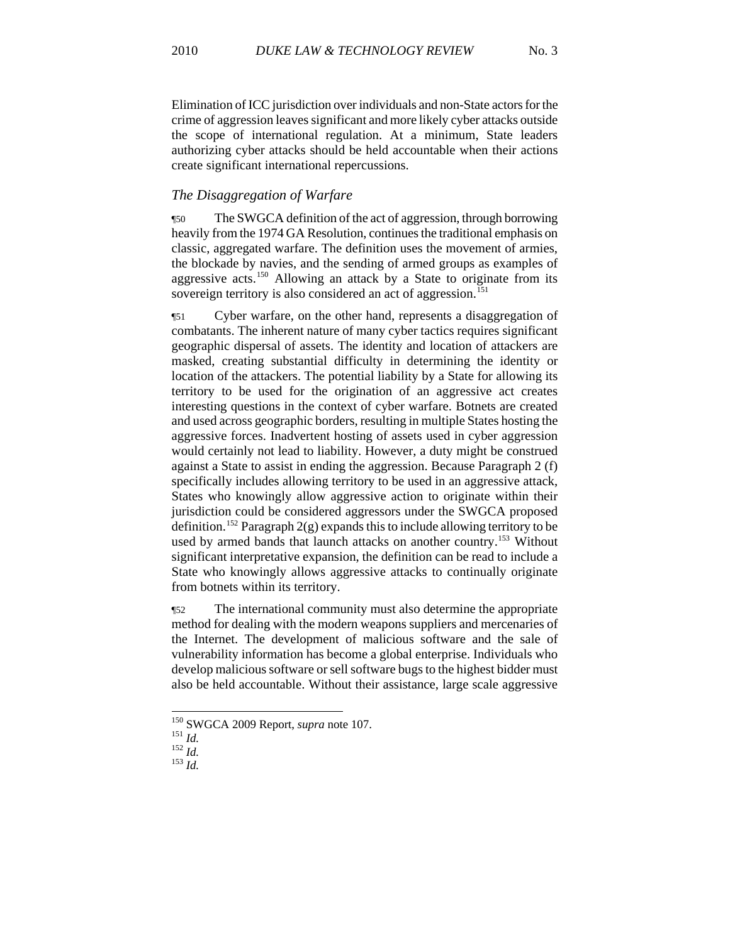Elimination of ICC jurisdiction over individuals and non-State actors for the crime of aggression leaves significant and more likely cyber attacks outside the scope of international regulation. At a minimum, State leaders authorizing cyber attacks should be held accountable when their actions create significant international repercussions.

# *The Disaggregation of Warfare*

¶50 The SWGCA definition of the act of aggression, through borrowing heavily from the 1974 GA Resolution, continues the traditional emphasis on classic, aggregated warfare. The definition uses the movement of armies, the blockade by navies, and the sending of armed groups as examples of aggressive acts.[150](#page-18-0) Allowing an attack by a State to originate from its sovereign territory is also considered an act of aggression.<sup>[151](#page-18-1)</sup>

¶51 Cyber warfare, on the other hand, represents a disaggregation of combatants. The inherent nature of many cyber tactics requires significant geographic dispersal of assets. The identity and location of attackers are masked, creating substantial difficulty in determining the identity or location of the attackers. The potential liability by a State for allowing its territory to be used for the origination of an aggressive act creates interesting questions in the context of cyber warfare. Botnets are created and used across geographic borders, resulting in multiple States hosting the aggressive forces. Inadvertent hosting of assets used in cyber aggression would certainly not lead to liability. However, a duty might be construed against a State to assist in ending the aggression. Because Paragraph 2 (f) specifically includes allowing territory to be used in an aggressive attack, States who knowingly allow aggressive action to originate within their jurisdiction could be considered aggressors under the SWGCA proposed definition.<sup>[152](#page-18-2)</sup> Paragraph  $2(g)$  expands this to include allowing territory to be used by armed bands that launch attacks on another country.<sup>[153](#page-18-3)</sup> Without significant interpretative expansion, the definition can be read to include a State who knowingly allows aggressive attacks to continually originate from botnets within its territory.

¶52 The international community must also determine the appropriate method for dealing with the modern weapons suppliers and mercenaries of the Internet. The development of malicious software and the sale of vulnerability information has become a global enterprise. Individuals who develop malicious software or sell software bugs to the highest bidder must also be held accountable. Without their assistance, large scale aggressive

<span id="page-18-0"></span><sup>&</sup>lt;sup>150</sup> SWGCA 2009 Report, *supra* note 107.<br><sup>151</sup> *Id.* <sup>152</sup> *Id.* <sup>152</sup> *Id.* <sup>153</sup> *Id.* 

<span id="page-18-3"></span><span id="page-18-2"></span><span id="page-18-1"></span>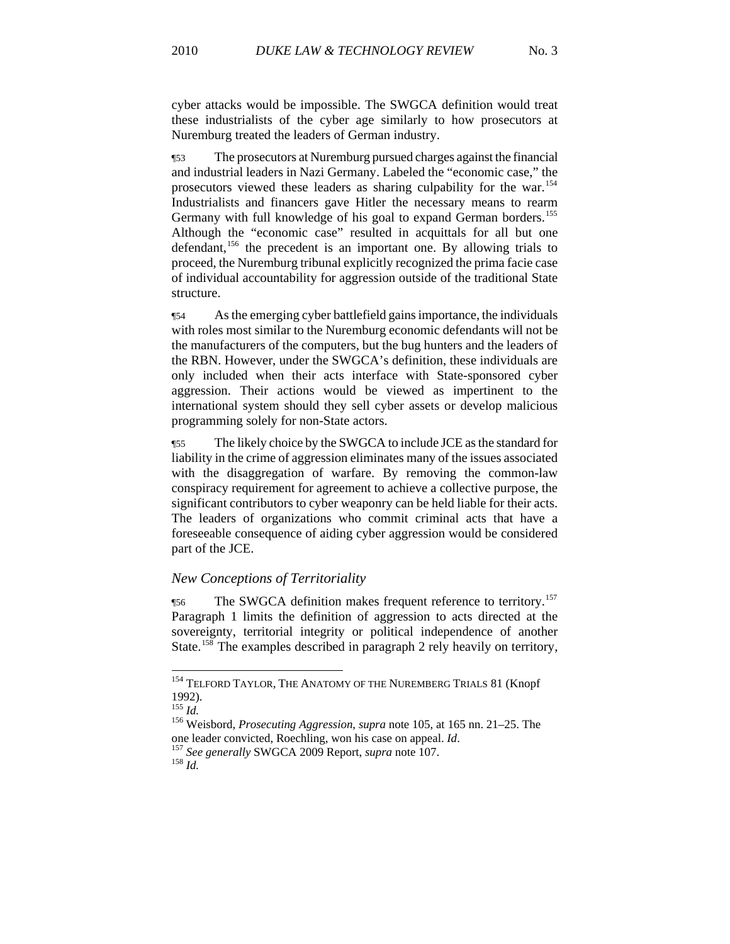cyber attacks would be impossible. The SWGCA definition would treat these industrialists of the cyber age similarly to how prosecutors at Nuremburg treated the leaders of German industry.

¶53 The prosecutors at Nuremburg pursued charges against the financial and industrial leaders in Nazi Germany. Labeled the "economic case," the prosecutors viewed these leaders as sharing culpability for the war.[154](#page-19-0) Industrialists and financers gave Hitler the necessary means to rearm Germany with full knowledge of his goal to expand German borders.<sup>[155](#page-19-1)</sup> Although the "economic case" resulted in acquittals for all but one defendant,  $156$  the precedent is an important one. By allowing trials to proceed, the Nuremburg tribunal explicitly recognized the prima facie case of individual accountability for aggression outside of the traditional State structure.

¶54 As the emerging cyber battlefield gains importance, the individuals with roles most similar to the Nuremburg economic defendants will not be the manufacturers of the computers, but the bug hunters and the leaders of the RBN. However, under the SWGCA's definition, these individuals are only included when their acts interface with State-sponsored cyber aggression. Their actions would be viewed as impertinent to the international system should they sell cyber assets or develop malicious programming solely for non-State actors.

¶55 The likely choice by the SWGCA to include JCE as the standard for liability in the crime of aggression eliminates many of the issues associated with the disaggregation of warfare. By removing the common-law conspiracy requirement for agreement to achieve a collective purpose, the significant contributors to cyber weaponry can be held liable for their acts. The leaders of organizations who commit criminal acts that have a foreseeable consequence of aiding cyber aggression would be considered part of the JCE.

### *New Conceptions of Territoriality*

**The SWGCA definition makes frequent reference to territory.**<sup>[157](#page-19-3)</sup> Paragraph 1 limits the definition of aggression to acts directed at the sovereignty, territorial integrity or political independence of another State.<sup>[158](#page-19-4)</sup> The examples described in paragraph 2 rely heavily on territory,

<span id="page-19-0"></span><sup>&</sup>lt;sup>154</sup> TELFORD TAYLOR, THE ANATOMY OF THE NUREMBERG TRIALS 81 (Knopf 1992).<br> $^{155}$  *Id.* 

<span id="page-19-4"></span><span id="page-19-3"></span><span id="page-19-2"></span><span id="page-19-1"></span><sup>155</sup> *Id.* 156 Weisbord*, Prosecuting Aggression*, *supra* note 105, at 165 nn. 21–25. The one leader convicted, Roechling, won his case on appeal. *Id*. 157 *See generally* SWGCA 2009 Report, *supra* note 107. 158 *Id.*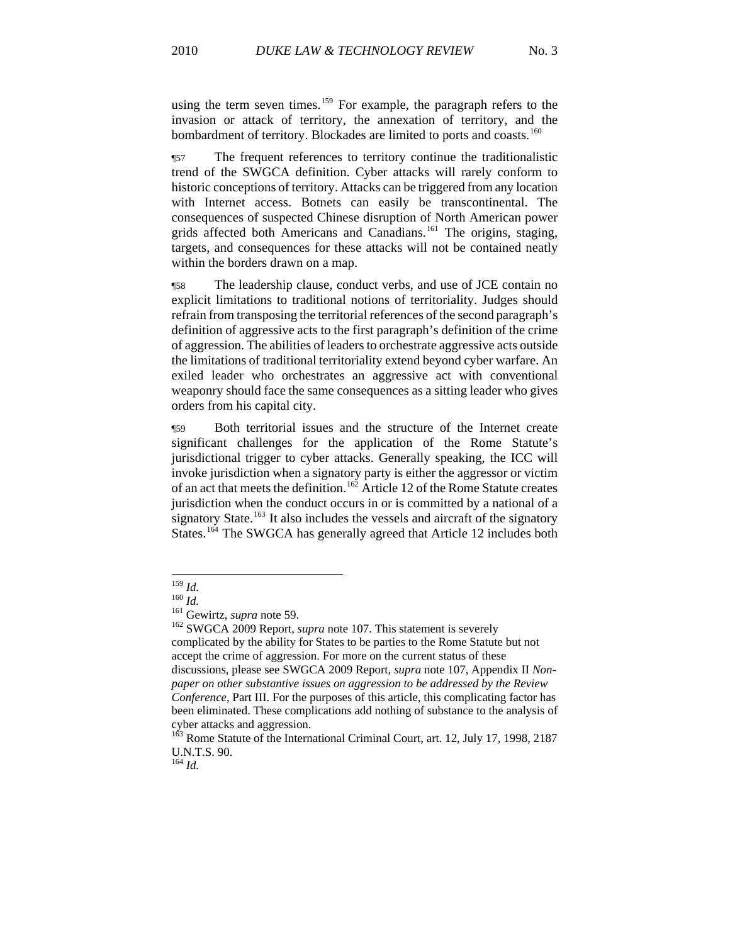using the term seven times.<sup>159</sup> For example, the paragraph refers to the invasion or attack of territory, the annexation of territory, and the bombardment of territory. Blockades are limited to ports and coasts.<sup>160</sup>

¶57 The frequent references to territory continue the traditionalistic trend of the SWGCA definition. Cyber attacks will rarely conform to historic conceptions of territory. Attacks can be triggered from any location with Internet access. Botnets can easily be transcontinental. The consequences of suspected Chinese disruption of North American power grids affected both Americans and Canadians.<sup>[161](#page-20-0)</sup> The origins, staging, targets, and consequences for these attacks will not be contained neatly within the borders drawn on a map.

¶58 The leadership clause, conduct verbs, and use of JCE contain no explicit limitations to traditional notions of territoriality. Judges should refrain from transposing the territorial references of the second paragraph's definition of aggressive acts to the first paragraph's definition of the crime of aggression. The abilities of leaders to orchestrate aggressive acts outside the limitations of traditional territoriality extend beyond cyber warfare. An exiled leader who orchestrates an aggressive act with conventional weaponry should face the same consequences as a sitting leader who gives orders from his capital city.

¶59 Both territorial issues and the structure of the Internet create significant challenges for the application of the Rome Statute's jurisdictional trigger to cyber attacks. Generally speaking, the ICC will invoke jurisdiction when a signatory party is either the aggressor or victim of an act that meets the definition.<sup>[162](#page-20-1)</sup> Article 12 of the Rome Statute creates jurisdiction when the conduct occurs in or is committed by a national of a signatory State.<sup>[163](#page-20-2)</sup> It also includes the vessels and aircraft of the signatory States.<sup>[164](#page-20-3)</sup> The SWGCA has generally agreed that Article 12 includes both

 $^{159}\,$  Id.

<span id="page-20-1"></span><span id="page-20-0"></span><sup>160</sup> *Id.*<br><sup>161</sup> Gewirtz, *supra* note 59.<br><sup>162</sup> SWGCA 2009 Report, *supra* note 107. This statement is severely complicated by the ability for States to be parties to the Rome Statute but not accept the crime of aggression. For more on the current status of these discussions, please see SWGCA 2009 Report, *supra* note 107, Appendix II *Nonpaper on other substantive issues on aggression to be addressed by the Review Conference*, Part III. For the purposes of this article, this complicating factor has been eliminated. These complications add nothing of substance to the analysis of cyber attacks and aggression.

<span id="page-20-2"></span><sup>&</sup>lt;sup>163</sup> Rome Statute of the International Criminal Court, art. 12, July 17, 1998, 2187 U.N.T.S. 90.

<span id="page-20-3"></span><sup>164</sup> *Id.*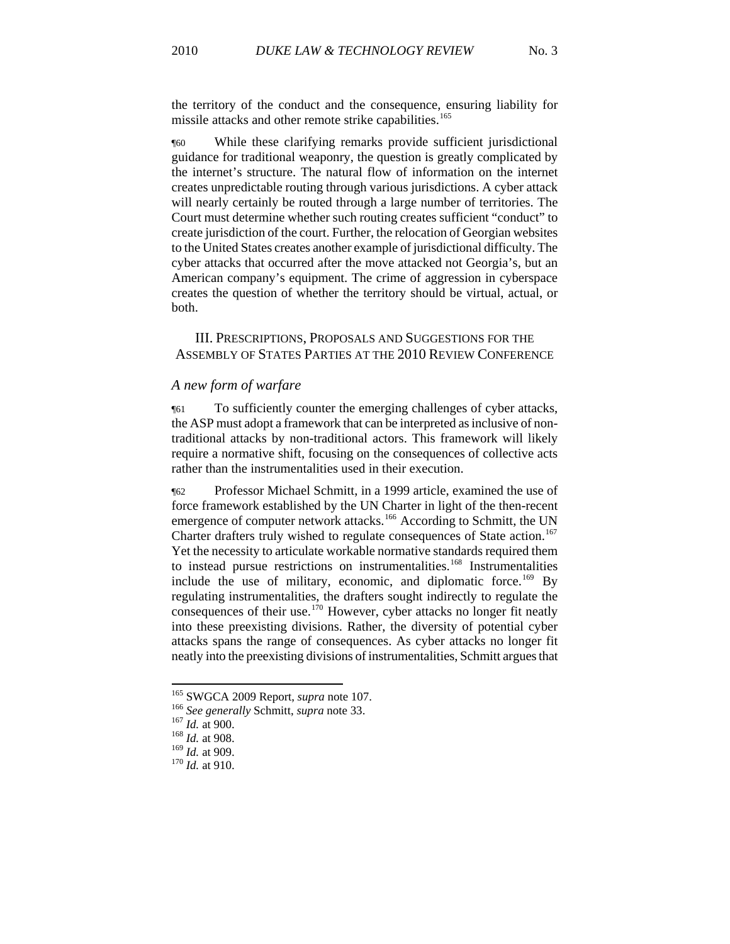the territory of the conduct and the consequence, ensuring liability for missile attacks and other remote strike capabilities.<sup>165</sup>

¶60 While these clarifying remarks provide sufficient jurisdictional guidance for traditional weaponry, the question is greatly complicated by the internet's structure. The natural flow of information on the internet creates unpredictable routing through various jurisdictions. A cyber attack will nearly certainly be routed through a large number of territories. The Court must determine whether such routing creates sufficient "conduct" to create jurisdiction of the court. Further, the relocation of Georgian websites to the United States creates another example of jurisdictional difficulty. The cyber attacks that occurred after the move attacked not Georgia's, but an American company's equipment. The crime of aggression in cyberspace creates the question of whether the territory should be virtual, actual, or both.

III. PRESCRIPTIONS, PROPOSALS AND SUGGESTIONS FOR THE ASSEMBLY OF STATES PARTIES AT THE 2010 REVIEW CONFERENCE

#### *A new form of warfare*

¶61 To sufficiently counter the emerging challenges of cyber attacks, the ASP must adopt a framework that can be interpreted as inclusive of nontraditional attacks by non-traditional actors. This framework will likely require a normative shift, focusing on the consequences of collective acts rather than the instrumentalities used in their execution.

¶62 Professor Michael Schmitt, in a 1999 article, examined the use of force framework established by the UN Charter in light of the then-recent emergence of computer network attacks.<sup>[166](#page-21-0)</sup> According to Schmitt, the UN Charter drafters truly wished to regulate consequences of State action.<sup>[167](#page-21-1)</sup> Yet the necessity to articulate workable normative standards required them to instead pursue restrictions on instrumentalities.<sup>[168](#page-21-2)</sup> Instrumentalities include the use of military, economic, and diplomatic force.<sup>[169](#page-21-3)</sup> By regulating instrumentalities, the drafters sought indirectly to regulate the consequences of their use.<sup>[170](#page-21-4)</sup> However, cyber attacks no longer fit neatly into these preexisting divisions. Rather, the diversity of potential cyber attacks spans the range of consequences. As cyber attacks no longer fit neatly into the preexisting divisions of instrumentalities, Schmitt argues that

<sup>&</sup>lt;sup>165</sup> SWGCA 2009 Report, *supra* note 107.

<span id="page-21-0"></span><sup>&</sup>lt;sup>166</sup> See generally Schmitt, *supra* note 33.<br><sup>167</sup> *Id.* at 900.<br><sup>168</sup> *Id.* at 908.<br><sup>169</sup> *Id.* at 909.

<span id="page-21-1"></span>

<span id="page-21-2"></span>

<span id="page-21-4"></span><span id="page-21-3"></span><sup>&</sup>lt;sup>170</sup> *Id.* at 910.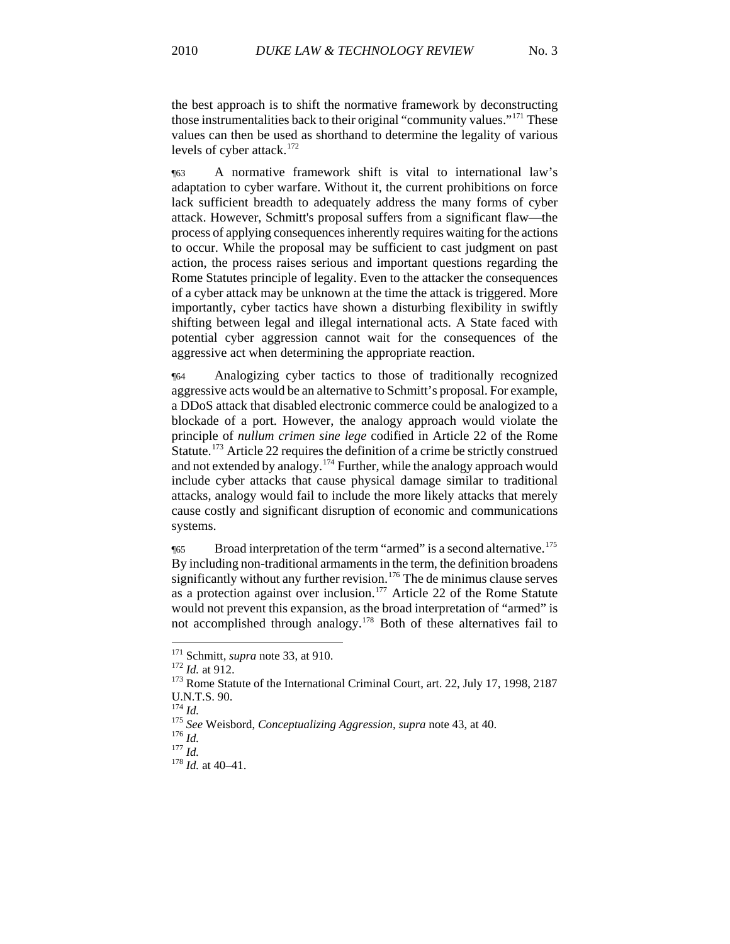the best approach is to shift the normative framework by deconstructing those instrumentalities back to their original "community values."171 These values can then be used as shorthand to determine the legality of various levels of cyber attack. $172$ 

¶63 A normative framework shift is vital to international law's adaptation to cyber warfare. Without it, the current prohibitions on force lack sufficient breadth to adequately address the many forms of cyber attack. However, Schmitt's proposal suffers from a significant flaw—the process of applying consequences inherently requires waiting for the actions to occur. While the proposal may be sufficient to cast judgment on past action, the process raises serious and important questions regarding the Rome Statutes principle of legality. Even to the attacker the consequences of a cyber attack may be unknown at the time the attack is triggered. More importantly, cyber tactics have shown a disturbing flexibility in swiftly shifting between legal and illegal international acts. A State faced with potential cyber aggression cannot wait for the consequences of the aggressive act when determining the appropriate reaction.

¶64 Analogizing cyber tactics to those of traditionally recognized aggressive acts would be an alternative to Schmitt's proposal. For example, a DDoS attack that disabled electronic commerce could be analogized to a blockade of a port. However, the analogy approach would violate the principle of *nullum crimen sine lege* codified in Article 22 of the Rome Statute.<sup>[173](#page-22-0)</sup> Article 22 requires the definition of a crime be strictly construed and not extended by analogy.[174](#page-22-1) Further, while the analogy approach would include cyber attacks that cause physical damage similar to traditional attacks, analogy would fail to include the more likely attacks that merely cause costly and significant disruption of economic and communications systems.

¶65 Broad interpretation of the term "armed" is a second alternative.[175](#page-22-2) By including non-traditional armaments in the term, the definition broadens significantly without any further revision.<sup>[176](#page-22-3)</sup> The de minimus clause serves as a protection against over inclusion.<sup>[177](#page-22-4)</sup> Article 22 of the Rome Statute would not prevent this expansion, as the broad interpretation of "armed" is not accomplished through analogy.[178](#page-22-5) Both of these alternatives fail to

<sup>&</sup>lt;sup>171</sup> Schmitt, *supra* note 33, at 910.

<span id="page-22-0"></span><sup>&</sup>lt;sup>172</sup> Id. at 912.<br><sup>173</sup> Rome Statute of the International Criminal Court, art. 22, July 17, 1998, 2187 U.N.T.S. 90.<br> $^{174}$  *Id.* 

<span id="page-22-2"></span><span id="page-22-1"></span><sup>174</sup> *Id.* <sup>175</sup> *See* Weisbord, *Conceptualizing Aggression, supra* note 43, at 40. 176 *Id.* <sup>177</sup> *Id.* <sup>178</sup> *Id.* at 40–41.

<span id="page-22-4"></span><span id="page-22-3"></span>

<span id="page-22-5"></span>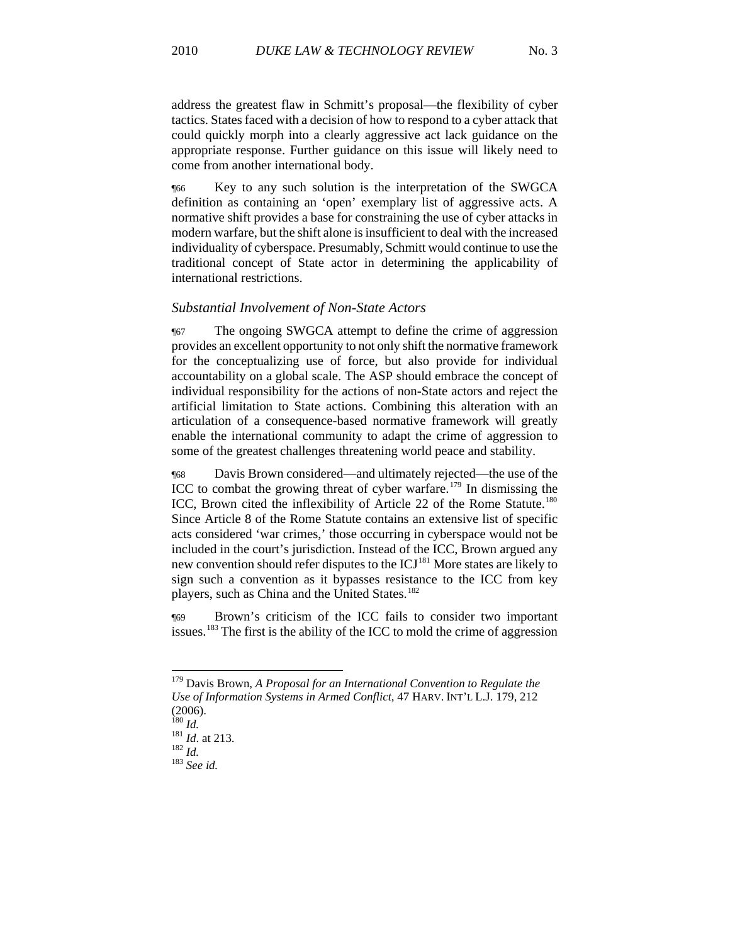address the greatest flaw in Schmitt's proposal—the flexibility of cyber tactics. States faced with a decision of how to respond to a cyber attack that could quickly morph into a clearly aggressive act lack guidance on the appropriate response. Further guidance on this issue will likely need to come from another international body.

¶66 Key to any such solution is the interpretation of the SWGCA definition as containing an 'open' exemplary list of aggressive acts. A normative shift provides a base for constraining the use of cyber attacks in modern warfare, but the shift alone is insufficient to deal with the increased individuality of cyberspace. Presumably, Schmitt would continue to use the traditional concept of State actor in determining the applicability of international restrictions.

#### *Substantial Involvement of Non-State Actors*

¶67 The ongoing SWGCA attempt to define the crime of aggression provides an excellent opportunity to not only shift the normative framework for the conceptualizing use of force, but also provide for individual accountability on a global scale. The ASP should embrace the concept of individual responsibility for the actions of non-State actors and reject the artificial limitation to State actions. Combining this alteration with an articulation of a consequence-based normative framework will greatly enable the international community to adapt the crime of aggression to some of the greatest challenges threatening world peace and stability.

¶68 Davis Brown considered—and ultimately rejected—the use of the ICC to combat the growing threat of cyber warfare.<sup>[179](#page-23-0)</sup> In dismissing the ICC, Brown cited the inflexibility of Article 22 of the Rome Statute.<sup>[180](#page-23-1)</sup> Since Article 8 of the Rome Statute contains an extensive list of specific acts considered 'war crimes,' those occurring in cyberspace would not be included in the court's jurisdiction. Instead of the ICC, Brown argued any new convention should refer disputes to the ICJ<sup>[181](#page-23-2)</sup> More states are likely to sign such a convention as it bypasses resistance to the ICC from key players, such as China and the United States.<sup>[182](#page-23-3)</sup>

Brown's criticism of the ICC fails to consider two important issues.<sup>[183](#page-23-4)</sup> The first is the ability of the ICC to mold the crime of aggression

<span id="page-23-0"></span>179 Davis Brown, *A Proposal for an International Convention to Regulate the Use of Information Systems in Armed Conflict*, 47 HARV. INT'L L.J. 179, 212  $\frac{(2006)}{180}$ 

l

<span id="page-23-3"></span><span id="page-23-2"></span><span id="page-23-1"></span><sup>180</sup> *Id.* <sup>181</sup> *Id*. at 213. 182 *Id.* <sup>183</sup> *See id.* 

<span id="page-23-4"></span>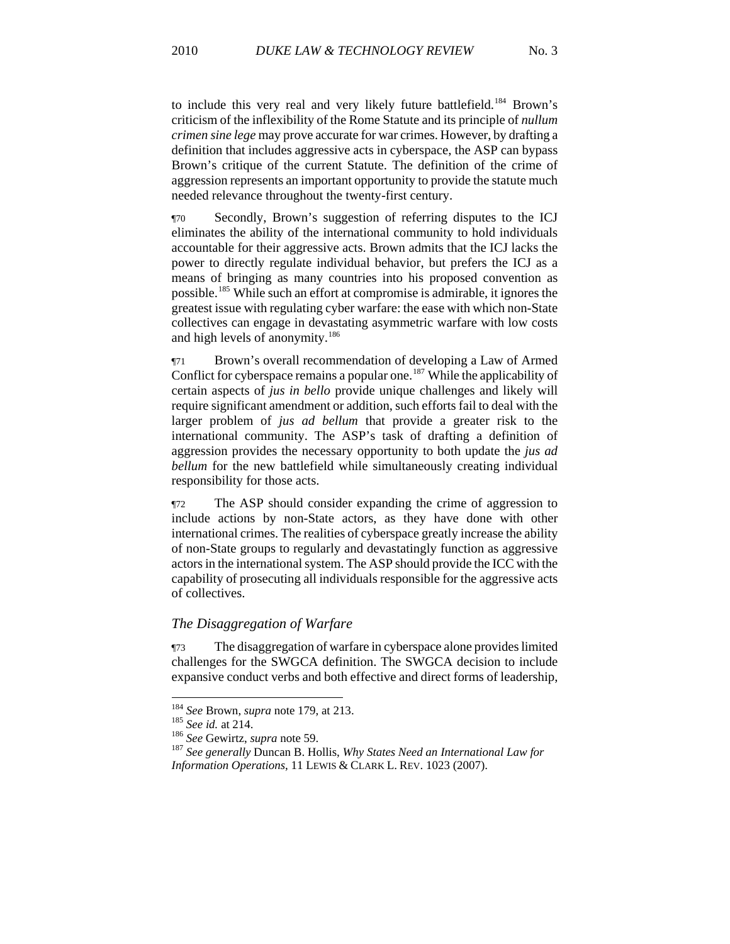to include this very real and very likely future battlefield.<sup>184</sup> Brown's criticism of the inflexibility of the Rome Statute and its principle of *nullum crimen sine lege* may prove accurate for war crimes. However, by drafting a definition that includes aggressive acts in cyberspace, the ASP can bypass Brown's critique of the current Statute. The definition of the crime of aggression represents an important opportunity to provide the statute much needed relevance throughout the twenty-first century.

¶70 Secondly, Brown's suggestion of referring disputes to the ICJ eliminates the ability of the international community to hold individuals accountable for their aggressive acts. Brown admits that the ICJ lacks the power to directly regulate individual behavior, but prefers the ICJ as a means of bringing as many countries into his proposed convention as possible.[185](#page-24-0) While such an effort at compromise is admirable, it ignores the greatest issue with regulating cyber warfare: the ease with which non-State collectives can engage in devastating asymmetric warfare with low costs and high levels of anonymity.<sup>[186](#page-24-1)</sup>

¶71 Brown's overall recommendation of developing a Law of Armed Conflict for cyberspace remains a popular one.<sup>[187](#page-24-2)</sup> While the applicability of certain aspects of *jus in bello* provide unique challenges and likely will require significant amendment or addition, such efforts fail to deal with the larger problem of *jus ad bellum* that provide a greater risk to the international community. The ASP's task of drafting a definition of aggression provides the necessary opportunity to both update the *jus ad bellum* for the new battlefield while simultaneously creating individual responsibility for those acts.

¶72 The ASP should consider expanding the crime of aggression to include actions by non-State actors, as they have done with other international crimes. The realities of cyberspace greatly increase the ability of non-State groups to regularly and devastatingly function as aggressive actors in the international system. The ASP should provide the ICC with the capability of prosecuting all individuals responsible for the aggressive acts of collectives.

#### *The Disaggregation of Warfare*

¶73 The disaggregation of warfare in cyberspace alone provides limited challenges for the SWGCA definition. The SWGCA decision to include expansive conduct verbs and both effective and direct forms of leadership,

<sup>&</sup>lt;sup>184</sup> See Brown, supra note 179, at 213.

<span id="page-24-2"></span>

<span id="page-24-1"></span><span id="page-24-0"></span><sup>&</sup>lt;sup>185</sup> *See id.* at 214.<br><sup>186</sup> *See Gewirtz, supra* note 59.<br><sup>187</sup> *See generally Duncan B. Hollis, Why States Need an International Law for Information Operations*, 11 LEWIS & CLARK L. REV. 1023 (2007).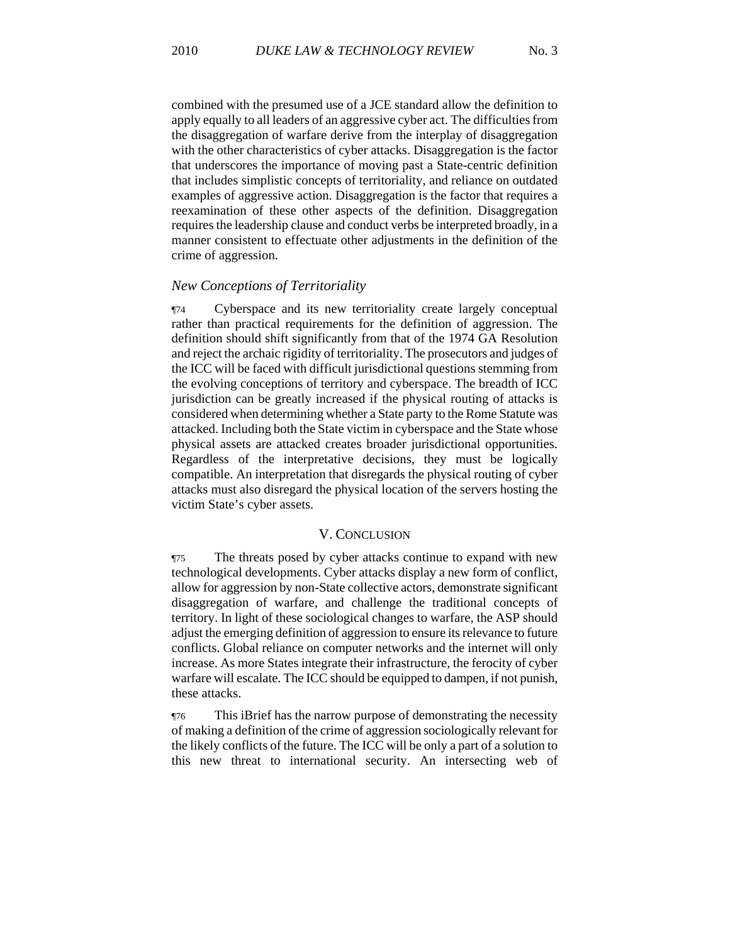combined with the presumed use of a JCE standard allow the definition to apply equally to all leaders of an aggressive cyber act. The difficulties from the disaggregation of warfare derive from the interplay of disaggregation with the other characteristics of cyber attacks. Disaggregation is the factor that underscores the importance of moving past a State-centric definition that includes simplistic concepts of territoriality, and reliance on outdated examples of aggressive action. Disaggregation is the factor that requires a reexamination of these other aspects of the definition. Disaggregation requires the leadership clause and conduct verbs be interpreted broadly, in a manner consistent to effectuate other adjustments in the definition of the crime of aggression.

#### *New Conceptions of Territoriality*

¶74 Cyberspace and its new territoriality create largely conceptual rather than practical requirements for the definition of aggression. The definition should shift significantly from that of the 1974 GA Resolution and reject the archaic rigidity of territoriality. The prosecutors and judges of the ICC will be faced with difficult jurisdictional questions stemming from the evolving conceptions of territory and cyberspace. The breadth of ICC jurisdiction can be greatly increased if the physical routing of attacks is considered when determining whether a State party to the Rome Statute was attacked. Including both the State victim in cyberspace and the State whose physical assets are attacked creates broader jurisdictional opportunities. Regardless of the interpretative decisions, they must be logically compatible. An interpretation that disregards the physical routing of cyber attacks must also disregard the physical location of the servers hosting the victim State's cyber assets.

### V. CONCLUSION

¶75 The threats posed by cyber attacks continue to expand with new technological developments. Cyber attacks display a new form of conflict, allow for aggression by non-State collective actors, demonstrate significant disaggregation of warfare, and challenge the traditional concepts of territory. In light of these sociological changes to warfare, the ASP should adjust the emerging definition of aggression to ensure its relevance to future conflicts. Global reliance on computer networks and the internet will only increase. As more States integrate their infrastructure, the ferocity of cyber warfare will escalate. The ICC should be equipped to dampen, if not punish, these attacks.

¶76 This iBrief has the narrow purpose of demonstrating the necessity of making a definition of the crime of aggression sociologically relevant for the likely conflicts of the future. The ICC will be only a part of a solution to this new threat to international security. An intersecting web of